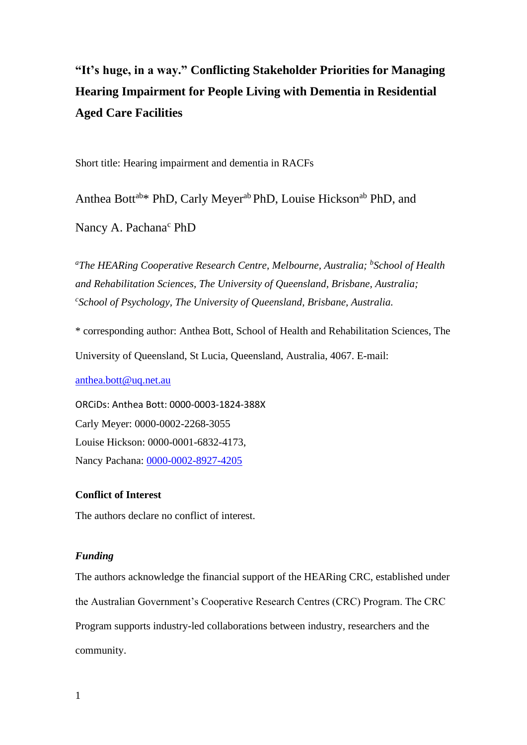# **"It's huge, in a way." Conflicting Stakeholder Priorities for Managing Hearing Impairment for People Living with Dementia in Residential Aged Care Facilities**

Short title: Hearing impairment and dementia in RACFs

Anthea Bott<sup>ab\*</sup> PhD, Carly Meyer<sup>ab</sup> PhD, Louise Hickson<sup>ab</sup> PhD, and

Nancy A. Pachana<sup>c</sup> PhD

*<sup>a</sup>The HEARing Cooperative Research Centre, Melbourne, Australia; <sup>b</sup> School of Health and Rehabilitation Sciences, The University of Queensland, Brisbane, Australia; c School of Psychology, The University of Queensland, Brisbane, Australia.*

\* corresponding author: Anthea Bott, School of Health and Rehabilitation Sciences, The University of Queensland, St Lucia, Queensland, Australia, 4067. E-mail:

[anthea.bott@uq.net.au](mailto:anthea.bott@uq.net.au)

ORCiDs: Anthea Bott: 0000-0003-1824-388X Carly Meyer: 0000-0002-2268-3055 Louise Hickson: 0000-0001-6832-4173, Nancy Pachana: [0000-0002-8927-4205](https://eur03.safelinks.protection.outlook.com/?url=https%3A%2F%2Fexchange.uq.edu.au%2Fowa%2Fredir.aspx%3FC%3D2465c54413974aecbae478403df48232%26URL%3Dhttps%253a%252f%252forcid.org%252f0000-0002-8927-4205%253flang%253den&data=02%7C01%7Cabott%40gnhearing.com%7Cadfef5c66de04cc9c0f608d7cb8e1ff5%7C5007a0102aef460aa4935d61927182be%7C0%7C0%7C637201683601238560&sdata=gjdZ0a%2BUuEBBAI9tORa6HIWMKLLmbLppxJziONlk4sg%3D&reserved=0)

# **Conflict of Interest**

The authors declare no conflict of interest.

# *Funding*

The authors acknowledge the financial support of the HEARing CRC, established under the Australian Government's Cooperative Research Centres (CRC) Program. The CRC Program supports industry-led collaborations between industry, researchers and the community.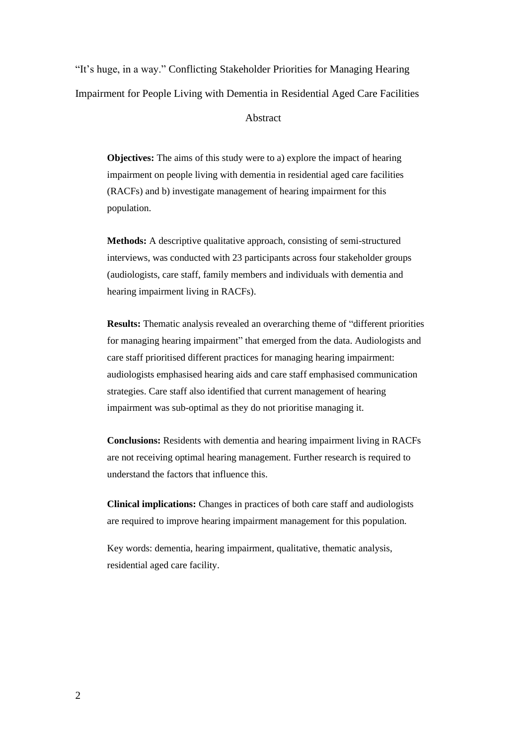"It's huge, in a way." Conflicting Stakeholder Priorities for Managing Hearing Impairment for People Living with Dementia in Residential Aged Care Facilities

### Abstract

**Objectives:** The aims of this study were to a) explore the impact of hearing impairment on people living with dementia in residential aged care facilities (RACFs) and b) investigate management of hearing impairment for this population.

**Methods:** A descriptive qualitative approach, consisting of semi-structured interviews, was conducted with 23 participants across four stakeholder groups (audiologists, care staff, family members and individuals with dementia and hearing impairment living in RACFs).

**Results:** Thematic analysis revealed an overarching theme of "different priorities for managing hearing impairment" that emerged from the data. Audiologists and care staff prioritised different practices for managing hearing impairment: audiologists emphasised hearing aids and care staff emphasised communication strategies. Care staff also identified that current management of hearing impairment was sub-optimal as they do not prioritise managing it.

**Conclusions:** Residents with dementia and hearing impairment living in RACFs are not receiving optimal hearing management. Further research is required to understand the factors that influence this.

**Clinical implications:** Changes in practices of both care staff and audiologists are required to improve hearing impairment management for this population.

Key words: dementia, hearing impairment, qualitative, thematic analysis, residential aged care facility.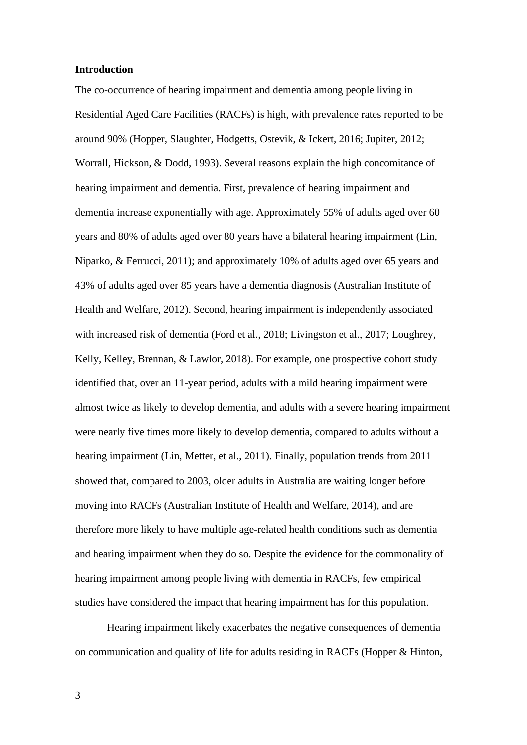### **Introduction**

The co-occurrence of hearing impairment and dementia among people living in Residential Aged Care Facilities (RACFs) is high, with prevalence rates reported to be around 90% (Hopper, Slaughter, Hodgetts, Ostevik, & Ickert, 2016; Jupiter, 2012; Worrall, Hickson, & Dodd, 1993). Several reasons explain the high concomitance of hearing impairment and dementia. First, prevalence of hearing impairment and dementia increase exponentially with age. Approximately 55% of adults aged over 60 years and 80% of adults aged over 80 years have a bilateral hearing impairment (Lin, Niparko, & Ferrucci, 2011); and approximately 10% of adults aged over 65 years and 43% of adults aged over 85 years have a dementia diagnosis (Australian Institute of Health and Welfare, 2012). Second, hearing impairment is independently associated with increased risk of dementia (Ford et al., 2018; Livingston et al., 2017; Loughrey, Kelly, Kelley, Brennan, & Lawlor, 2018). For example, one prospective cohort study identified that, over an 11-year period, adults with a mild hearing impairment were almost twice as likely to develop dementia, and adults with a severe hearing impairment were nearly five times more likely to develop dementia, compared to adults without a hearing impairment (Lin, Metter, et al., 2011). Finally, population trends from 2011 showed that, compared to 2003, older adults in Australia are waiting longer before moving into RACFs (Australian Institute of Health and Welfare, 2014), and are therefore more likely to have multiple age-related health conditions such as dementia and hearing impairment when they do so. Despite the evidence for the commonality of hearing impairment among people living with dementia in RACFs, few empirical studies have considered the impact that hearing impairment has for this population.

Hearing impairment likely exacerbates the negative consequences of dementia on communication and quality of life for adults residing in RACFs (Hopper & Hinton,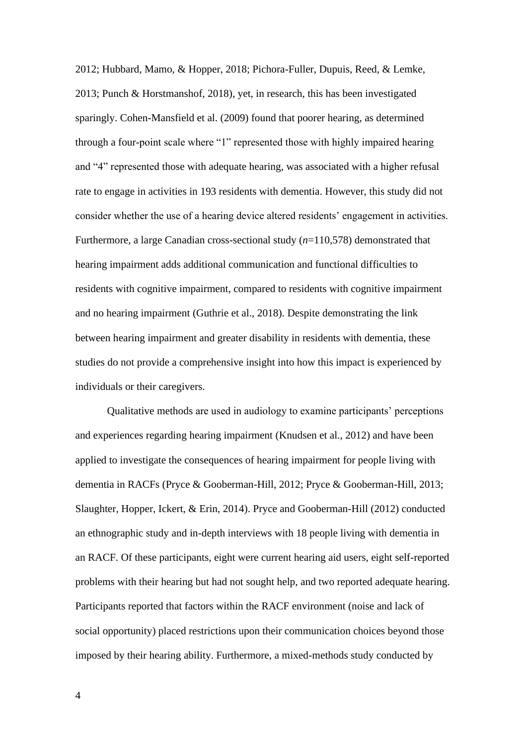2012; Hubbard, Mamo, & Hopper, 2018; Pichora-Fuller, Dupuis, Reed, & Lemke, 2013; Punch & Horstmanshof, 2018), yet, in research, this has been investigated sparingly. Cohen-Mansfield et al. (2009) found that poorer hearing, as determined through a four-point scale where "1" represented those with highly impaired hearing and "4" represented those with adequate hearing, was associated with a higher refusal rate to engage in activities in 193 residents with dementia. However, this study did not consider whether the use of a hearing device altered residents' engagement in activities. Furthermore, a large Canadian cross-sectional study (*n*=110,578) demonstrated that hearing impairment adds additional communication and functional difficulties to residents with cognitive impairment, compared to residents with cognitive impairment and no hearing impairment (Guthrie et al., 2018). Despite demonstrating the link between hearing impairment and greater disability in residents with dementia, these studies do not provide a comprehensive insight into how this impact is experienced by individuals or their caregivers.

Qualitative methods are used in audiology to examine participants' perceptions and experiences regarding hearing impairment (Knudsen et al., 2012) and have been applied to investigate the consequences of hearing impairment for people living with dementia in RACFs (Pryce & Gooberman-Hill, 2012; Pryce & Gooberman-Hill, 2013; Slaughter, Hopper, Ickert, & Erin, 2014). Pryce and Gooberman-Hill (2012) conducted an ethnographic study and in-depth interviews with 18 people living with dementia in an RACF. Of these participants, eight were current hearing aid users, eight self-reported problems with their hearing but had not sought help, and two reported adequate hearing. Participants reported that factors within the RACF environment (noise and lack of social opportunity) placed restrictions upon their communication choices beyond those imposed by their hearing ability. Furthermore, a mixed-methods study conducted by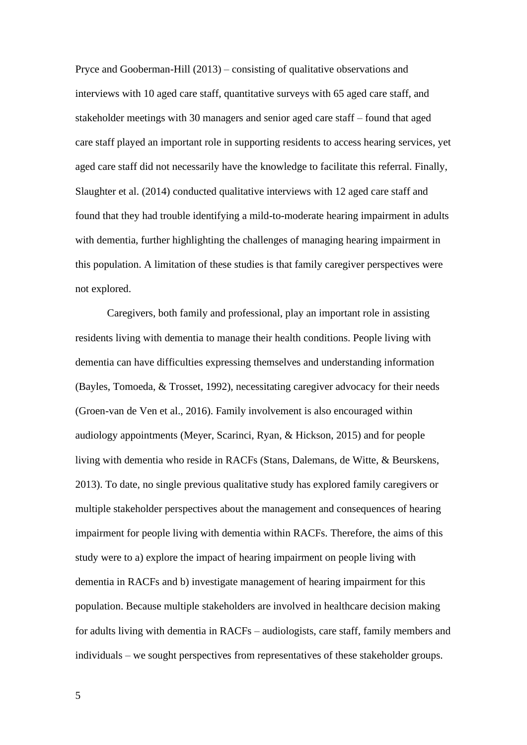Pryce and Gooberman-Hill (2013) – consisting of qualitative observations and interviews with 10 aged care staff, quantitative surveys with 65 aged care staff, and stakeholder meetings with 30 managers and senior aged care staff – found that aged care staff played an important role in supporting residents to access hearing services, yet aged care staff did not necessarily have the knowledge to facilitate this referral. Finally, Slaughter et al. (2014) conducted qualitative interviews with 12 aged care staff and found that they had trouble identifying a mild-to-moderate hearing impairment in adults with dementia, further highlighting the challenges of managing hearing impairment in this population. A limitation of these studies is that family caregiver perspectives were not explored.

Caregivers, both family and professional, play an important role in assisting residents living with dementia to manage their health conditions. People living with dementia can have difficulties expressing themselves and understanding information (Bayles, Tomoeda, & Trosset, 1992), necessitating caregiver advocacy for their needs (Groen-van de Ven et al., 2016). Family involvement is also encouraged within audiology appointments (Meyer, Scarinci, Ryan, & Hickson, 2015) and for people living with dementia who reside in RACFs (Stans, Dalemans, de Witte, & Beurskens, 2013). To date, no single previous qualitative study has explored family caregivers or multiple stakeholder perspectives about the management and consequences of hearing impairment for people living with dementia within RACFs. Therefore, the aims of this study were to a) explore the impact of hearing impairment on people living with dementia in RACFs and b) investigate management of hearing impairment for this population. Because multiple stakeholders are involved in healthcare decision making for adults living with dementia in RACFs – audiologists, care staff, family members and individuals – we sought perspectives from representatives of these stakeholder groups.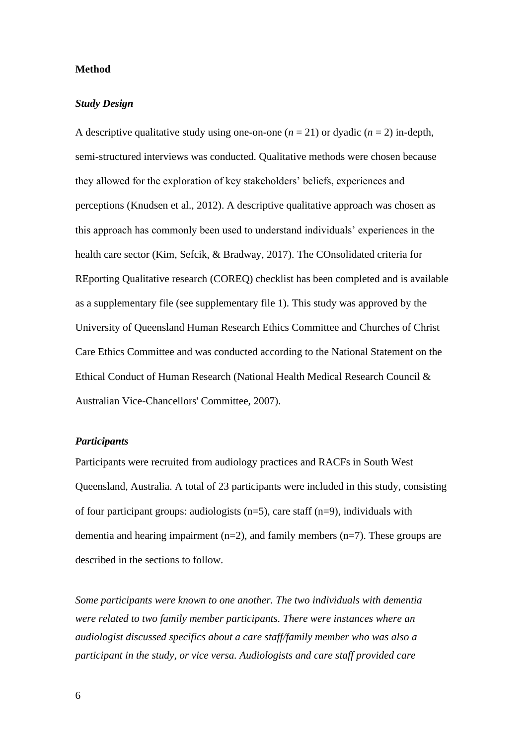### **Method**

### *Study Design*

A descriptive qualitative study using one-on-one  $(n = 21)$  or dyadic  $(n = 2)$  in-depth, semi-structured interviews was conducted. Qualitative methods were chosen because they allowed for the exploration of key stakeholders' beliefs, experiences and perceptions (Knudsen et al., 2012). A descriptive qualitative approach was chosen as this approach has commonly been used to understand individuals' experiences in the health care sector (Kim, Sefcik, & Bradway, 2017). The COnsolidated criteria for REporting Qualitative research (COREQ) checklist has been completed and is available as a supplementary file (see supplementary file 1). This study was approved by the University of Queensland Human Research Ethics Committee and Churches of Christ Care Ethics Committee and was conducted according to the National Statement on the Ethical Conduct of Human Research (National Health Medical Research Council & Australian Vice-Chancellors' Committee, 2007).

# *Participants*

Participants were recruited from audiology practices and RACFs in South West Queensland, Australia. A total of 23 participants were included in this study, consisting of four participant groups: audiologists  $(n=5)$ , care staff  $(n=9)$ , individuals with dementia and hearing impairment  $(n=2)$ , and family members  $(n=7)$ . These groups are described in the sections to follow.

*Some participants were known to one another. The two individuals with dementia were related to two family member participants. There were instances where an audiologist discussed specifics about a care staff/family member who was also a participant in the study, or vice versa. Audiologists and care staff provided care*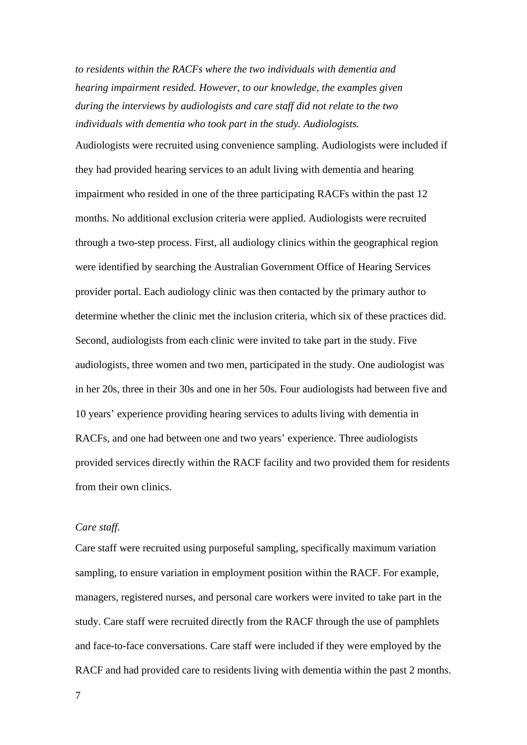*to residents within the RACFs where the two individuals with dementia and hearing impairment resided. However, to our knowledge, the examples given during the interviews by audiologists and care staff did not relate to the two individuals with dementia who took part in the study. Audiologists.* 

Audiologists were recruited using convenience sampling. Audiologists were included if they had provided hearing services to an adult living with dementia and hearing impairment who resided in one of the three participating RACFs within the past 12 months. No additional exclusion criteria were applied. Audiologists were recruited through a two-step process. First, all audiology clinics within the geographical region were identified by searching the Australian Government Office of Hearing Services provider portal. Each audiology clinic was then contacted by the primary author to determine whether the clinic met the inclusion criteria, which six of these practices did. Second, audiologists from each clinic were invited to take part in the study. Five audiologists, three women and two men, participated in the study. One audiologist was in her 20s, three in their 30s and one in her 50s. Four audiologists had between five and 10 years' experience providing hearing services to adults living with dementia in RACFs, and one had between one and two years' experience. Three audiologists provided services directly within the RACF facility and two provided them for residents from their own clinics.

### *Care staff.*

Care staff were recruited using purposeful sampling, specifically maximum variation sampling, to ensure variation in employment position within the RACF. For example, managers, registered nurses, and personal care workers were invited to take part in the study. Care staff were recruited directly from the RACF through the use of pamphlets and face-to-face conversations. Care staff were included if they were employed by the RACF and had provided care to residents living with dementia within the past 2 months.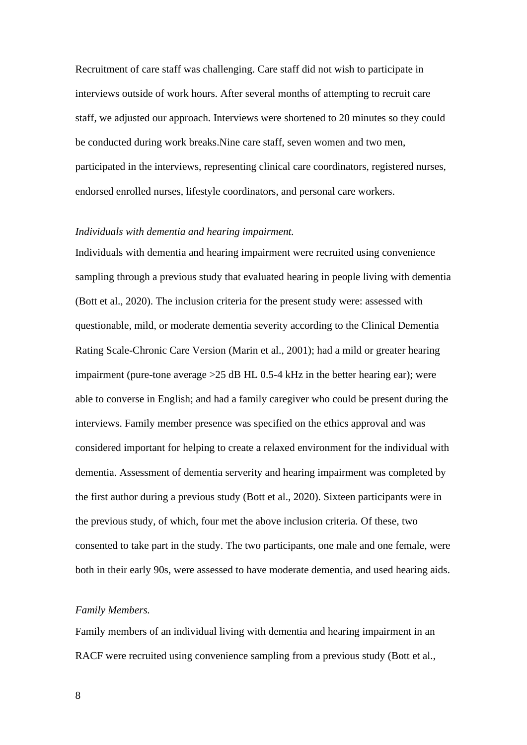Recruitment of care staff was challenging. Care staff did not wish to participate in interviews outside of work hours. After several months of attempting to recruit care staff, we adjusted our approach. Interviews were shortened to 20 minutes so they could be conducted during work breaks.Nine care staff, seven women and two men, participated in the interviews, representing clinical care coordinators, registered nurses, endorsed enrolled nurses, lifestyle coordinators, and personal care workers.

#### *Individuals with dementia and hearing impairment.*

Individuals with dementia and hearing impairment were recruited using convenience sampling through a previous study that evaluated hearing in people living with dementia (Bott et al., 2020). The inclusion criteria for the present study were: assessed with questionable, mild, or moderate dementia severity according to the Clinical Dementia Rating Scale-Chronic Care Version (Marin et al., 2001); had a mild or greater hearing impairment (pure-tone average  $>25$  dB HL 0.5-4 kHz in the better hearing ear); were able to converse in English; and had a family caregiver who could be present during the interviews. Family member presence was specified on the ethics approval and was considered important for helping to create a relaxed environment for the individual with dementia. Assessment of dementia serverity and hearing impairment was completed by the first author during a previous study (Bott et al., 2020). Sixteen participants were in the previous study, of which, four met the above inclusion criteria. Of these, two consented to take part in the study. The two participants, one male and one female, were both in their early 90s, were assessed to have moderate dementia, and used hearing aids.

### *Family Members.*

Family members of an individual living with dementia and hearing impairment in an RACF were recruited using convenience sampling from a previous study (Bott et al.,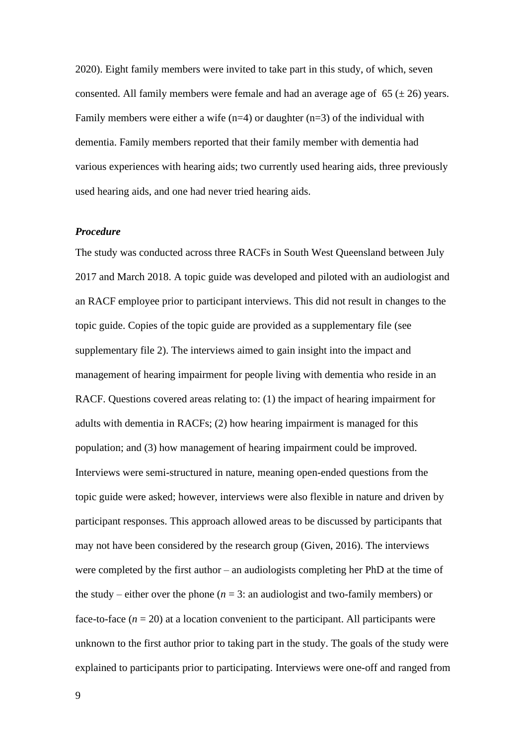2020). Eight family members were invited to take part in this study, of which, seven consented. All family members were female and had an average age of  $65 (\pm 26)$  years. Family members were either a wife  $(n=4)$  or daughter  $(n=3)$  of the individual with dementia. Family members reported that their family member with dementia had various experiences with hearing aids; two currently used hearing aids, three previously used hearing aids, and one had never tried hearing aids.

### *Procedure*

The study was conducted across three RACFs in South West Queensland between July 2017 and March 2018. A topic guide was developed and piloted with an audiologist and an RACF employee prior to participant interviews. This did not result in changes to the topic guide. Copies of the topic guide are provided as a supplementary file (see supplementary file 2). The interviews aimed to gain insight into the impact and management of hearing impairment for people living with dementia who reside in an RACF. Questions covered areas relating to: (1) the impact of hearing impairment for adults with dementia in RACFs; (2) how hearing impairment is managed for this population; and (3) how management of hearing impairment could be improved. Interviews were semi-structured in nature, meaning open-ended questions from the topic guide were asked; however, interviews were also flexible in nature and driven by participant responses. This approach allowed areas to be discussed by participants that may not have been considered by the research group (Given, 2016). The interviews were completed by the first author – an audiologists completing her PhD at the time of the study – either over the phone ( $n = 3$ : an audiologist and two-family members) or face-to-face  $(n = 20)$  at a location convenient to the participant. All participants were unknown to the first author prior to taking part in the study. The goals of the study were explained to participants prior to participating. Interviews were one-off and ranged from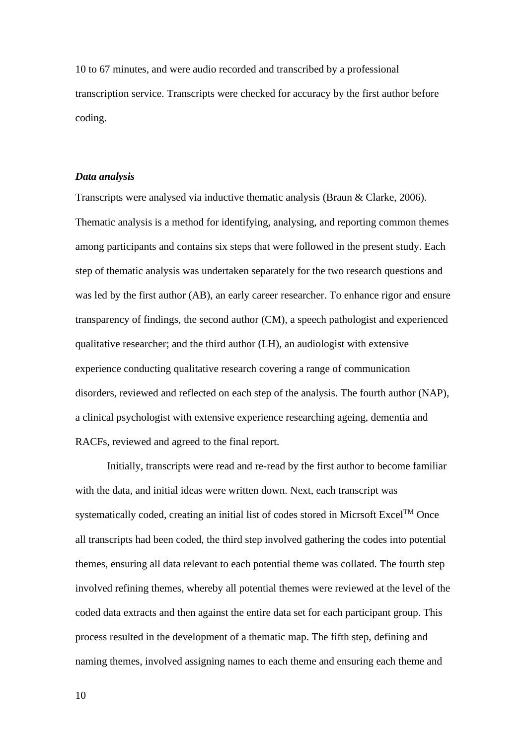10 to 67 minutes, and were audio recorded and transcribed by a professional transcription service. Transcripts were checked for accuracy by the first author before coding.

### *Data analysis*

Transcripts were analysed via inductive thematic analysis (Braun & Clarke, 2006). Thematic analysis is a method for identifying, analysing, and reporting common themes among participants and contains six steps that were followed in the present study. Each step of thematic analysis was undertaken separately for the two research questions and was led by the first author (AB), an early career researcher. To enhance rigor and ensure transparency of findings, the second author (CM), a speech pathologist and experienced qualitative researcher; and the third author (LH), an audiologist with extensive experience conducting qualitative research covering a range of communication disorders, reviewed and reflected on each step of the analysis. The fourth author (NAP), a clinical psychologist with extensive experience researching ageing, dementia and RACFs, reviewed and agreed to the final report.

Initially, transcripts were read and re-read by the first author to become familiar with the data, and initial ideas were written down. Next, each transcript was systematically coded, creating an initial list of codes stored in Micrsoft Excel<sup>TM</sup> Once all transcripts had been coded, the third step involved gathering the codes into potential themes, ensuring all data relevant to each potential theme was collated. The fourth step involved refining themes, whereby all potential themes were reviewed at the level of the coded data extracts and then against the entire data set for each participant group. This process resulted in the development of a thematic map. The fifth step, defining and naming themes, involved assigning names to each theme and ensuring each theme and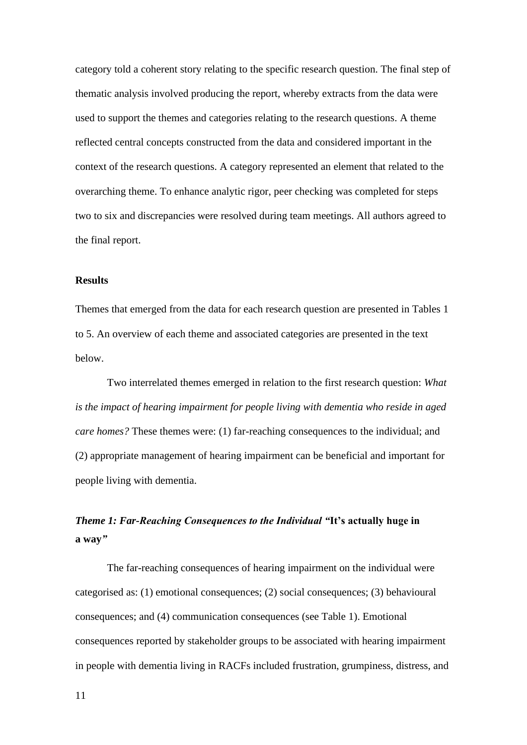category told a coherent story relating to the specific research question. The final step of thematic analysis involved producing the report, whereby extracts from the data were used to support the themes and categories relating to the research questions. A theme reflected central concepts constructed from the data and considered important in the context of the research questions. A category represented an element that related to the overarching theme. To enhance analytic rigor, peer checking was completed for steps two to six and discrepancies were resolved during team meetings. All authors agreed to the final report.

### **Results**

Themes that emerged from the data for each research question are presented in Tables 1 to 5. An overview of each theme and associated categories are presented in the text below.

Two interrelated themes emerged in relation to the first research question: *What is the impact of hearing impairment for people living with dementia who reside in aged care homes?* These themes were: (1) far-reaching consequences to the individual; and (2) appropriate management of hearing impairment can be beneficial and important for people living with dementia.

# *Theme 1: Far-Reaching Consequences to the Individual "***It's actually huge in a way***"*

The far-reaching consequences of hearing impairment on the individual were categorised as: (1) emotional consequences; (2) social consequences; (3) behavioural consequences; and (4) communication consequences (see Table 1). Emotional consequences reported by stakeholder groups to be associated with hearing impairment in people with dementia living in RACFs included frustration, grumpiness, distress, and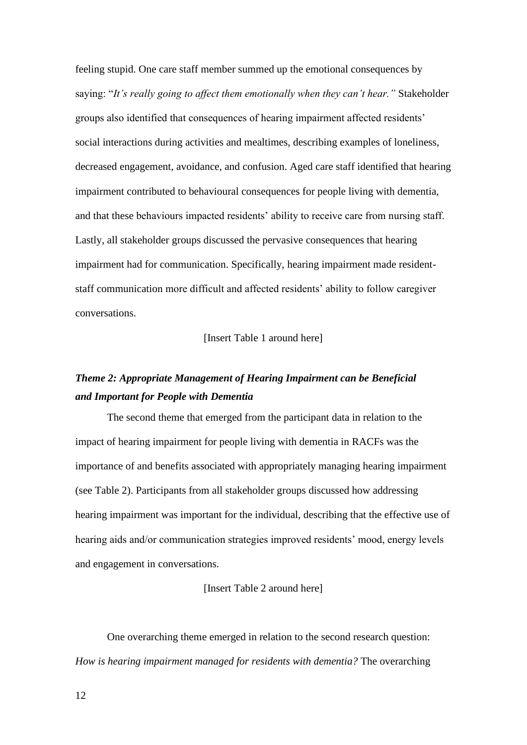feeling stupid. One care staff member summed up the emotional consequences by saying: "*It's really going to affect them emotionally when they can't hear."* Stakeholder groups also identified that consequences of hearing impairment affected residents' social interactions during activities and mealtimes, describing examples of loneliness, decreased engagement, avoidance, and confusion. Aged care staff identified that hearing impairment contributed to behavioural consequences for people living with dementia, and that these behaviours impacted residents' ability to receive care from nursing staff. Lastly, all stakeholder groups discussed the pervasive consequences that hearing impairment had for communication. Specifically, hearing impairment made residentstaff communication more difficult and affected residents' ability to follow caregiver conversations.

### [Insert Table 1 around here]

# *Theme 2: Appropriate Management of Hearing Impairment can be Beneficial and Important for People with Dementia*

The second theme that emerged from the participant data in relation to the impact of hearing impairment for people living with dementia in RACFs was the importance of and benefits associated with appropriately managing hearing impairment (see Table 2). Participants from all stakeholder groups discussed how addressing hearing impairment was important for the individual, describing that the effective use of hearing aids and/or communication strategies improved residents' mood, energy levels and engagement in conversations.

### [Insert Table 2 around here]

One overarching theme emerged in relation to the second research question: *How is hearing impairment managed for residents with dementia?* The overarching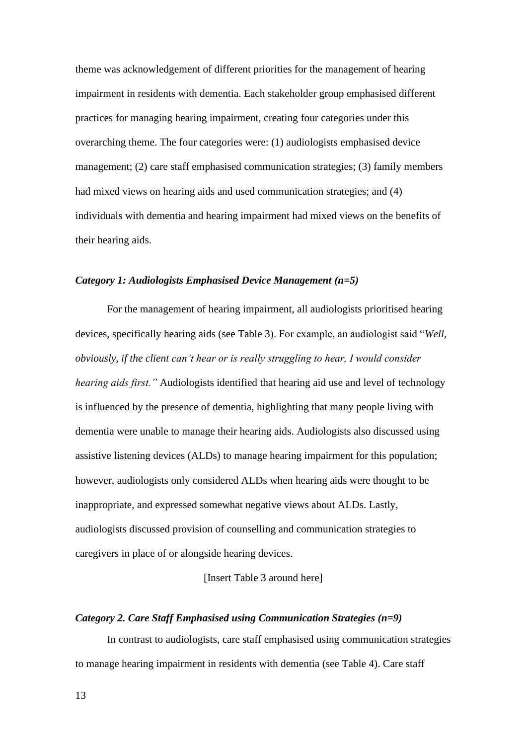theme was acknowledgement of different priorities for the management of hearing impairment in residents with dementia. Each stakeholder group emphasised different practices for managing hearing impairment, creating four categories under this overarching theme. The four categories were: (1) audiologists emphasised device management; (2) care staff emphasised communication strategies; (3) family members had mixed views on hearing aids and used communication strategies; and (4) individuals with dementia and hearing impairment had mixed views on the benefits of their hearing aids.

### *Category 1: Audiologists Emphasised Device Management (n=5)*

For the management of hearing impairment, all audiologists prioritised hearing devices, specifically hearing aids (see Table 3). For example, an audiologist said "*Well, obviously, if the client can't hear or is really struggling to hear, I would consider hearing aids first."* Audiologists identified that hearing aid use and level of technology is influenced by the presence of dementia, highlighting that many people living with dementia were unable to manage their hearing aids. Audiologists also discussed using assistive listening devices (ALDs) to manage hearing impairment for this population; however, audiologists only considered ALDs when hearing aids were thought to be inappropriate, and expressed somewhat negative views about ALDs. Lastly, audiologists discussed provision of counselling and communication strategies to caregivers in place of or alongside hearing devices.

[Insert Table 3 around here]

### *Category 2. Care Staff Emphasised using Communication Strategies (n=9)*

In contrast to audiologists, care staff emphasised using communication strategies to manage hearing impairment in residents with dementia (see Table 4). Care staff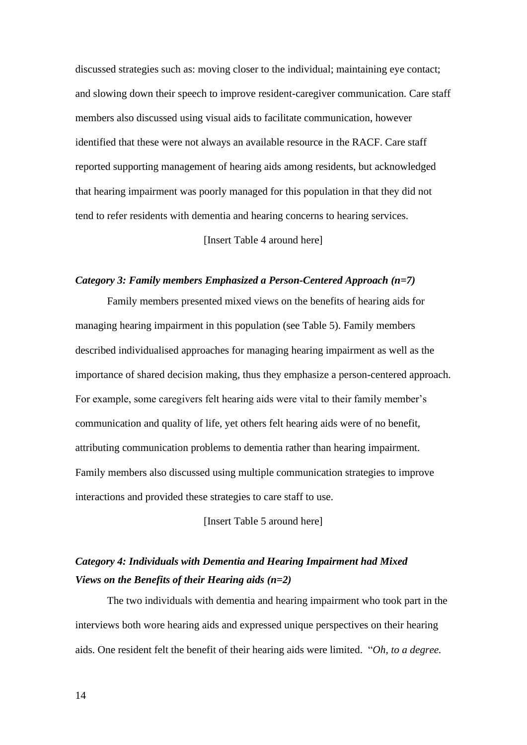discussed strategies such as: moving closer to the individual; maintaining eye contact; and slowing down their speech to improve resident-caregiver communication. Care staff members also discussed using visual aids to facilitate communication, however identified that these were not always an available resource in the RACF. Care staff reported supporting management of hearing aids among residents, but acknowledged that hearing impairment was poorly managed for this population in that they did not tend to refer residents with dementia and hearing concerns to hearing services.

### [Insert Table 4 around here]

### *Category 3: Family members Emphasized a Person-Centered Approach (n=7)*

Family members presented mixed views on the benefits of hearing aids for managing hearing impairment in this population (see Table 5). Family members described individualised approaches for managing hearing impairment as well as the importance of shared decision making, thus they emphasize a person-centered approach. For example, some caregivers felt hearing aids were vital to their family member's communication and quality of life, yet others felt hearing aids were of no benefit, attributing communication problems to dementia rather than hearing impairment. Family members also discussed using multiple communication strategies to improve interactions and provided these strategies to care staff to use.

[Insert Table 5 around here]

# *Category 4: Individuals with Dementia and Hearing Impairment had Mixed Views on the Benefits of their Hearing aids (n=2)*

The two individuals with dementia and hearing impairment who took part in the interviews both wore hearing aids and expressed unique perspectives on their hearing aids. One resident felt the benefit of their hearing aids were limited. "*Oh, to a degree.*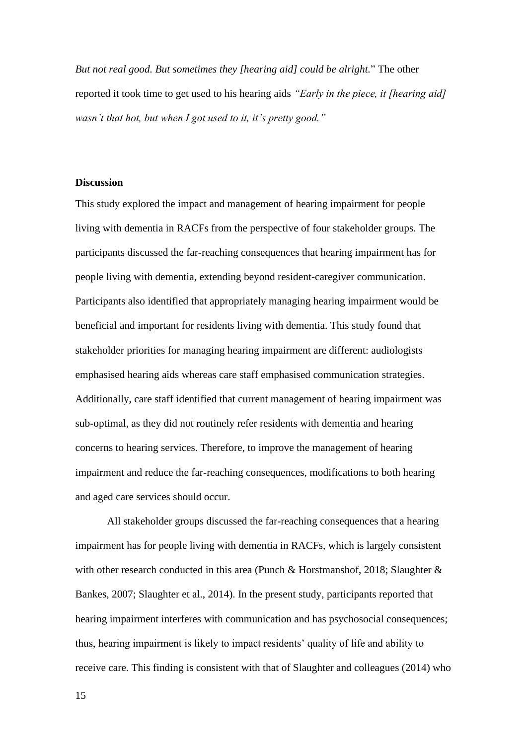*But not real good. But sometimes they [hearing aid] could be alright.*" The other reported it took time to get used to his hearing aids *"Early in the piece, it [hearing aid] wasn't that hot, but when I got used to it, it's pretty good."*

### **Discussion**

This study explored the impact and management of hearing impairment for people living with dementia in RACFs from the perspective of four stakeholder groups. The participants discussed the far-reaching consequences that hearing impairment has for people living with dementia, extending beyond resident-caregiver communication. Participants also identified that appropriately managing hearing impairment would be beneficial and important for residents living with dementia. This study found that stakeholder priorities for managing hearing impairment are different: audiologists emphasised hearing aids whereas care staff emphasised communication strategies. Additionally, care staff identified that current management of hearing impairment was sub-optimal, as they did not routinely refer residents with dementia and hearing concerns to hearing services. Therefore, to improve the management of hearing impairment and reduce the far-reaching consequences, modifications to both hearing and aged care services should occur.

All stakeholder groups discussed the far-reaching consequences that a hearing impairment has for people living with dementia in RACFs, which is largely consistent with other research conducted in this area (Punch & Horstmanshof, 2018; Slaughter & Bankes, 2007; Slaughter et al., 2014). In the present study, participants reported that hearing impairment interferes with communication and has psychosocial consequences; thus, hearing impairment is likely to impact residents' quality of life and ability to receive care. This finding is consistent with that of Slaughter and colleagues (2014) who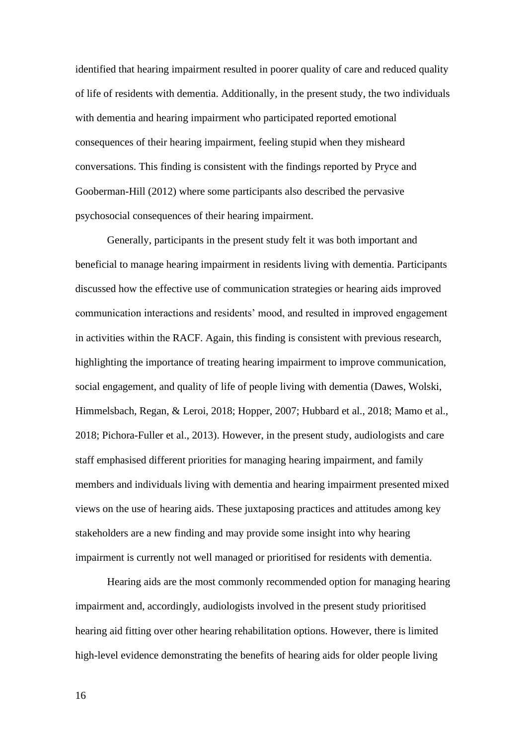identified that hearing impairment resulted in poorer quality of care and reduced quality of life of residents with dementia. Additionally, in the present study, the two individuals with dementia and hearing impairment who participated reported emotional consequences of their hearing impairment, feeling stupid when they misheard conversations. This finding is consistent with the findings reported by Pryce and Gooberman-Hill (2012) where some participants also described the pervasive psychosocial consequences of their hearing impairment.

Generally, participants in the present study felt it was both important and beneficial to manage hearing impairment in residents living with dementia. Participants discussed how the effective use of communication strategies or hearing aids improved communication interactions and residents' mood, and resulted in improved engagement in activities within the RACF. Again, this finding is consistent with previous research, highlighting the importance of treating hearing impairment to improve communication, social engagement, and quality of life of people living with dementia (Dawes, Wolski, Himmelsbach, Regan, & Leroi, 2018; Hopper, 2007; Hubbard et al., 2018; Mamo et al., 2018; Pichora-Fuller et al., 2013). However, in the present study, audiologists and care staff emphasised different priorities for managing hearing impairment, and family members and individuals living with dementia and hearing impairment presented mixed views on the use of hearing aids. These juxtaposing practices and attitudes among key stakeholders are a new finding and may provide some insight into why hearing impairment is currently not well managed or prioritised for residents with dementia.

Hearing aids are the most commonly recommended option for managing hearing impairment and, accordingly, audiologists involved in the present study prioritised hearing aid fitting over other hearing rehabilitation options. However, there is limited high-level evidence demonstrating the benefits of hearing aids for older people living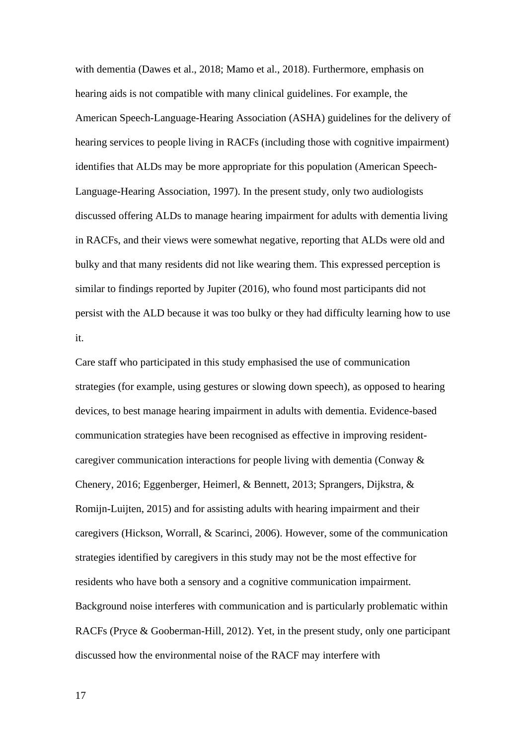with dementia (Dawes et al., 2018; Mamo et al., 2018). Furthermore, emphasis on hearing aids is not compatible with many clinical guidelines. For example, the American Speech-Language-Hearing Association (ASHA) guidelines for the delivery of hearing services to people living in RACFs (including those with cognitive impairment) identifies that ALDs may be more appropriate for this population (American Speech-Language-Hearing Association, 1997). In the present study, only two audiologists discussed offering ALDs to manage hearing impairment for adults with dementia living in RACFs, and their views were somewhat negative, reporting that ALDs were old and bulky and that many residents did not like wearing them. This expressed perception is similar to findings reported by Jupiter (2016), who found most participants did not persist with the ALD because it was too bulky or they had difficulty learning how to use it.

Care staff who participated in this study emphasised the use of communication strategies (for example, using gestures or slowing down speech), as opposed to hearing devices, to best manage hearing impairment in adults with dementia. Evidence-based communication strategies have been recognised as effective in improving residentcaregiver communication interactions for people living with dementia (Conway & Chenery, 2016; Eggenberger, Heimerl, & Bennett, 2013; Sprangers, Dijkstra, & Romijn-Luijten, 2015) and for assisting adults with hearing impairment and their caregivers (Hickson, Worrall, & Scarinci, 2006). However, some of the communication strategies identified by caregivers in this study may not be the most effective for residents who have both a sensory and a cognitive communication impairment. Background noise interferes with communication and is particularly problematic within RACFs (Pryce & Gooberman-Hill, 2012). Yet, in the present study, only one participant discussed how the environmental noise of the RACF may interfere with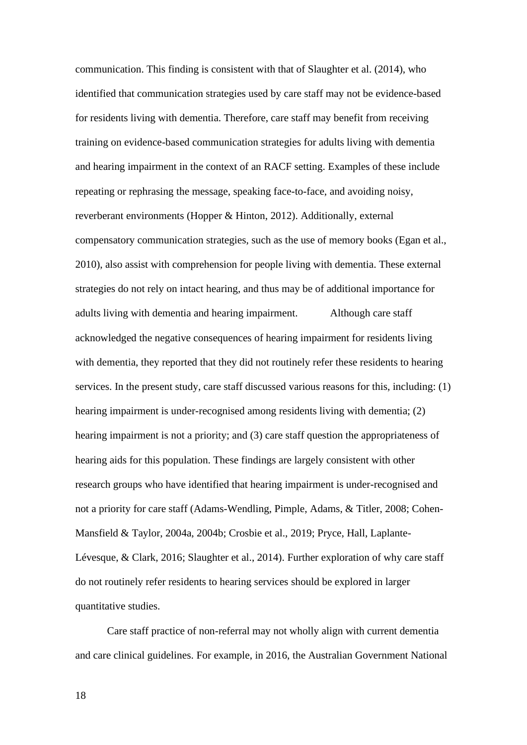communication. This finding is consistent with that of Slaughter et al. (2014), who identified that communication strategies used by care staff may not be evidence-based for residents living with dementia. Therefore, care staff may benefit from receiving training on evidence-based communication strategies for adults living with dementia and hearing impairment in the context of an RACF setting. Examples of these include repeating or rephrasing the message, speaking face-to-face, and avoiding noisy, reverberant environments (Hopper & Hinton, 2012). Additionally, external compensatory communication strategies, such as the use of memory books (Egan et al., 2010), also assist with comprehension for people living with dementia. These external strategies do not rely on intact hearing, and thus may be of additional importance for adults living with dementia and hearing impairment. Although care staff acknowledged the negative consequences of hearing impairment for residents living with dementia, they reported that they did not routinely refer these residents to hearing services. In the present study, care staff discussed various reasons for this, including: (1) hearing impairment is under-recognised among residents living with dementia; (2) hearing impairment is not a priority; and (3) care staff question the appropriateness of hearing aids for this population. These findings are largely consistent with other research groups who have identified that hearing impairment is under-recognised and not a priority for care staff (Adams-Wendling, Pimple, Adams, & Titler, 2008; Cohen-Mansfield & Taylor, 2004a, 2004b; Crosbie et al., 2019; Pryce, Hall, Laplante-Lévesque, & Clark, 2016; Slaughter et al., 2014). Further exploration of why care staff do not routinely refer residents to hearing services should be explored in larger quantitative studies.

Care staff practice of non-referral may not wholly align with current dementia and care clinical guidelines. For example, in 2016, the Australian Government National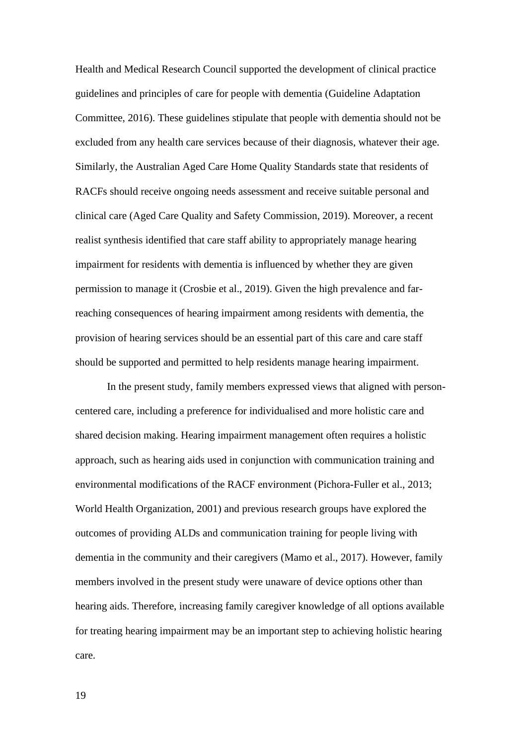Health and Medical Research Council supported the development of clinical practice guidelines and principles of care for people with dementia (Guideline Adaptation Committee, 2016). These guidelines stipulate that people with dementia should not be excluded from any health care services because of their diagnosis, whatever their age. Similarly, the Australian Aged Care Home Quality Standards state that residents of RACFs should receive ongoing needs assessment and receive suitable personal and clinical care (Aged Care Quality and Safety Commission, 2019). Moreover, a recent realist synthesis identified that care staff ability to appropriately manage hearing impairment for residents with dementia is influenced by whether they are given permission to manage it (Crosbie et al., 2019). Given the high prevalence and farreaching consequences of hearing impairment among residents with dementia, the provision of hearing services should be an essential part of this care and care staff should be supported and permitted to help residents manage hearing impairment.

In the present study, family members expressed views that aligned with personcentered care, including a preference for individualised and more holistic care and shared decision making. Hearing impairment management often requires a holistic approach, such as hearing aids used in conjunction with communication training and environmental modifications of the RACF environment (Pichora-Fuller et al., 2013; World Health Organization, 2001) and previous research groups have explored the outcomes of providing ALDs and communication training for people living with dementia in the community and their caregivers (Mamo et al., 2017). However, family members involved in the present study were unaware of device options other than hearing aids. Therefore, increasing family caregiver knowledge of all options available for treating hearing impairment may be an important step to achieving holistic hearing care.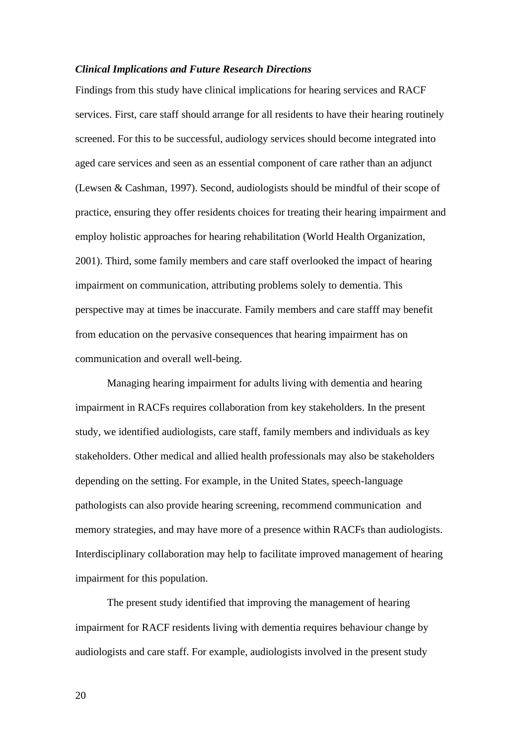### *Clinical Implications and Future Research Directions*

Findings from this study have clinical implications for hearing services and RACF services. First, care staff should arrange for all residents to have their hearing routinely screened. For this to be successful, audiology services should become integrated into aged care services and seen as an essential component of care rather than an adjunct (Lewsen & Cashman, 1997). Second, audiologists should be mindful of their scope of practice, ensuring they offer residents choices for treating their hearing impairment and employ holistic approaches for hearing rehabilitation (World Health Organization, 2001). Third, some family members and care staff overlooked the impact of hearing impairment on communication, attributing problems solely to dementia. This perspective may at times be inaccurate. Family members and care stafff may benefit from education on the pervasive consequences that hearing impairment has on communication and overall well-being.

Managing hearing impairment for adults living with dementia and hearing impairment in RACFs requires collaboration from key stakeholders. In the present study, we identified audiologists, care staff, family members and individuals as key stakeholders. Other medical and allied health professionals may also be stakeholders depending on the setting. For example, in the United States, speech-language pathologists can also provide hearing screening, recommend communication and memory strategies, and may have more of a presence within RACFs than audiologists. Interdisciplinary collaboration may help to facilitate improved management of hearing impairment for this population.

The present study identified that improving the management of hearing impairment for RACF residents living with dementia requires behaviour change by audiologists and care staff. For example, audiologists involved in the present study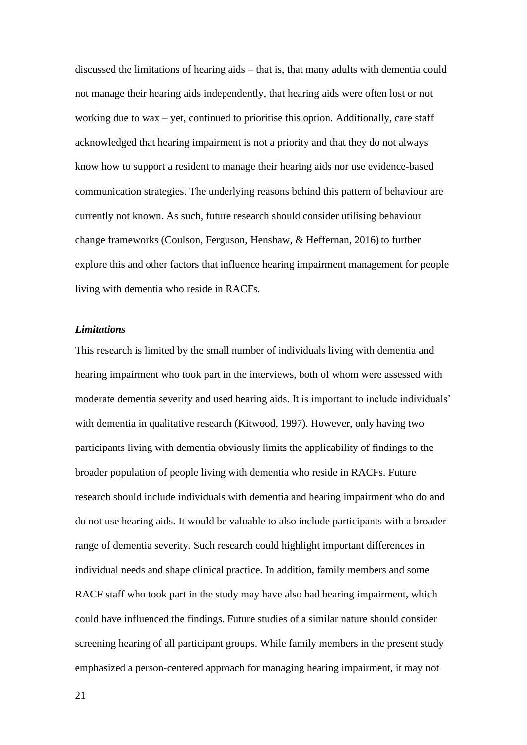discussed the limitations of hearing aids – that is, that many adults with dementia could not manage their hearing aids independently, that hearing aids were often lost or not working due to wax – yet, continued to prioritise this option. Additionally, care staff acknowledged that hearing impairment is not a priority and that they do not always know how to support a resident to manage their hearing aids nor use evidence-based communication strategies. The underlying reasons behind this pattern of behaviour are currently not known. As such, future research should consider utilising behaviour change frameworks (Coulson, Ferguson, Henshaw, & Heffernan, 2016) to further explore this and other factors that influence hearing impairment management for people living with dementia who reside in RACFs.

### *Limitations*

This research is limited by the small number of individuals living with dementia and hearing impairment who took part in the interviews, both of whom were assessed with moderate dementia severity and used hearing aids. It is important to include individuals' with dementia in qualitative research (Kitwood, 1997). However, only having two participants living with dementia obviously limits the applicability of findings to the broader population of people living with dementia who reside in RACFs. Future research should include individuals with dementia and hearing impairment who do and do not use hearing aids. It would be valuable to also include participants with a broader range of dementia severity. Such research could highlight important differences in individual needs and shape clinical practice. In addition, family members and some RACF staff who took part in the study may have also had hearing impairment, which could have influenced the findings. Future studies of a similar nature should consider screening hearing of all participant groups. While family members in the present study emphasized a person-centered approach for managing hearing impairment, it may not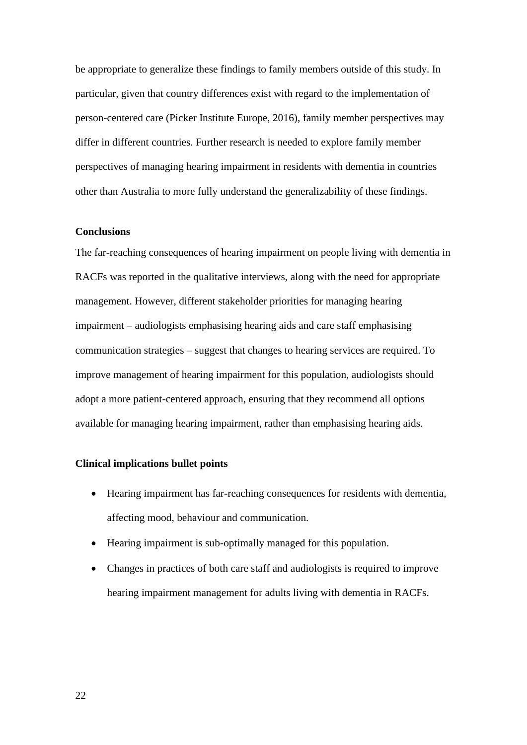be appropriate to generalize these findings to family members outside of this study. In particular, given that country differences exist with regard to the implementation of person-centered care (Picker Institute Europe, 2016), family member perspectives may differ in different countries. Further research is needed to explore family member perspectives of managing hearing impairment in residents with dementia in countries other than Australia to more fully understand the generalizability of these findings.

# **Conclusions**

The far-reaching consequences of hearing impairment on people living with dementia in RACFs was reported in the qualitative interviews, along with the need for appropriate management. However, different stakeholder priorities for managing hearing impairment – audiologists emphasising hearing aids and care staff emphasising communication strategies – suggest that changes to hearing services are required. To improve management of hearing impairment for this population, audiologists should adopt a more patient-centered approach, ensuring that they recommend all options available for managing hearing impairment, rather than emphasising hearing aids.

### **Clinical implications bullet points**

- Hearing impairment has far-reaching consequences for residents with dementia, affecting mood, behaviour and communication.
- Hearing impairment is sub-optimally managed for this population.
- Changes in practices of both care staff and audiologists is required to improve hearing impairment management for adults living with dementia in RACFs.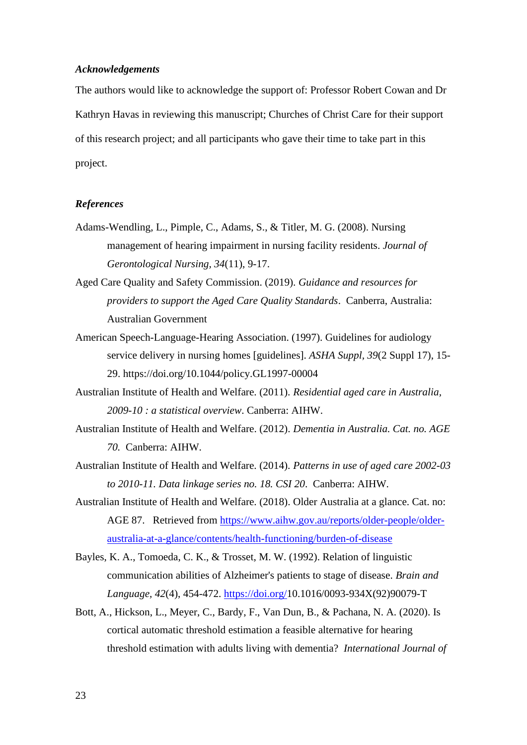#### *Acknowledgements*

The authors would like to acknowledge the support of: Professor Robert Cowan and Dr Kathryn Havas in reviewing this manuscript; Churches of Christ Care for their support of this research project; and all participants who gave their time to take part in this project.

### *References*

- Adams-Wendling, L., Pimple, C., Adams, S., & Titler, M. G. (2008). Nursing management of hearing impairment in nursing facility residents. *Journal of Gerontological Nursing, 34*(11), 9-17.
- Aged Care Quality and Safety Commission. (2019). *Guidance and resources for providers to support the Aged Care Quality Standards*. Canberra, Australia: Australian Government
- American Speech-Language-Hearing Association. (1997). Guidelines for audiology service delivery in nursing homes [guidelines]. *ASHA Suppl, 39*(2 Suppl 17), 15- 29. https://doi.org/10.1044/policy.GL1997-00004
- Australian Institute of Health and Welfare. (2011). *Residential aged care in Australia, 2009-10 : a statistical overview*. Canberra: AIHW.
- Australian Institute of Health and Welfare. (2012). *Dementia in Australia. Cat. no. AGE 70.* Canberra: AIHW.
- Australian Institute of Health and Welfare. (2014). *Patterns in use of aged care 2002-03 to 2010-11. Data linkage series no. 18. CSI 20*. Canberra: AIHW.
- Australian Institute of Health and Welfare. (2018). Older Australia at a glance. Cat. no: AGE 87. Retrieved from [https://www.aihw.gov.au/reports/older-people/older](https://www.aihw.gov.au/reports/older-people/older-australia-at-a-glance/contents/health-functioning/burden-of-disease)[australia-at-a-glance/contents/health-functioning/burden-of-disease](https://www.aihw.gov.au/reports/older-people/older-australia-at-a-glance/contents/health-functioning/burden-of-disease)
- Bayles, K. A., Tomoeda, C. K., & Trosset, M. W. (1992). Relation of linguistic communication abilities of Alzheimer's patients to stage of disease. *Brain and Language, 42*(4), 454-472. [https://doi.org/1](https://doi.org/)0.1016/0093-934X(92)90079-T
- Bott, A., Hickson, L., Meyer, C., Bardy, F., Van Dun, B., & Pachana, N. A. (2020). Is cortical automatic threshold estimation a feasible alternative for hearing threshold estimation with adults living with dementia? *International Journal of*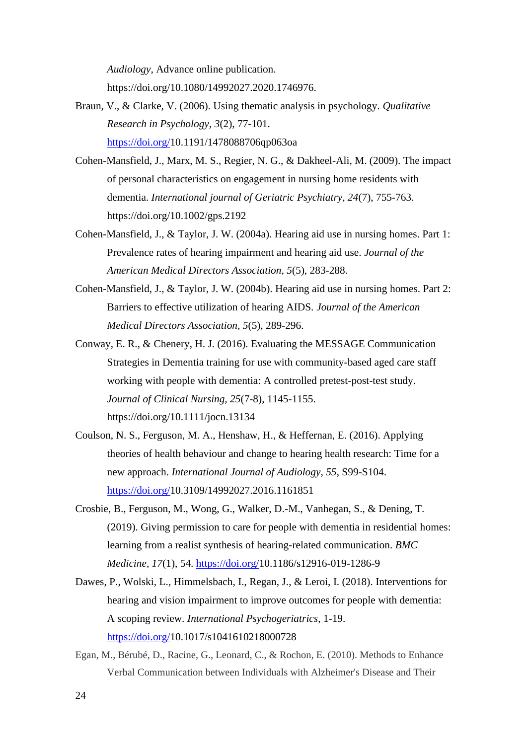*Audiology,* Advance online publication. https://doi.org/10.1080/14992027.2020.1746976.

- Braun, V., & Clarke, V. (2006). Using thematic analysis in psychology. *Qualitative Research in Psychology, 3*(2), 77-101. [https://doi.org/1](https://doi.org/)0.1191/1478088706qp063oa
- Cohen-Mansfield, J., Marx, M. S., Regier, N. G., & Dakheel-Ali, M. (2009). The impact of personal characteristics on engagement in nursing home residents with dementia. *International journal of Geriatric Psychiatry, 24*(7), 755-763. https://doi.org/10.1002/gps.2192
- Cohen-Mansfield, J., & Taylor, J. W. (2004a). Hearing aid use in nursing homes. Part 1: Prevalence rates of hearing impairment and hearing aid use. *Journal of the American Medical Directors Association, 5*(5), 283-288.
- Cohen-Mansfield, J., & Taylor, J. W. (2004b). Hearing aid use in nursing homes. Part 2: Barriers to effective utilization of hearing AIDS. *Journal of the American Medical Directors Association, 5*(5), 289-296.
- Conway, E. R., & Chenery, H. J. (2016). Evaluating the MESSAGE Communication Strategies in Dementia training for use with community-based aged care staff working with people with dementia: A controlled pretest-post-test study. *Journal of Clinical Nursing, 25*(7-8), 1145-1155. https://doi.org/10.1111/jocn.13134
- Coulson, N. S., Ferguson, M. A., Henshaw, H., & Heffernan, E. (2016). Applying theories of health behaviour and change to hearing health research: Time for a new approach. *International Journal of Audiology, 55*, S99-S104. [https://doi.org/1](https://doi.org/)0.3109/14992027.2016.1161851
- Crosbie, B., Ferguson, M., Wong, G., Walker, D.-M., Vanhegan, S., & Dening, T. (2019). Giving permission to care for people with dementia in residential homes: learning from a realist synthesis of hearing-related communication. *BMC Medicine, 17*(1), 54. [https://doi.org/1](https://doi.org/)0.1186/s12916-019-1286-9
- Dawes, P., Wolski, L., Himmelsbach, I., Regan, J., & Leroi, I. (2018). Interventions for hearing and vision impairment to improve outcomes for people with dementia: A scoping review. *International Psychogeriatrics*, 1-19. [https://doi.org/1](https://doi.org/)0.1017/s1041610218000728
- Egan, M., Bérubé, D., Racine, G., Leonard, C., & Rochon, E. (2010). Methods to Enhance Verbal Communication between Individuals with Alzheimer's Disease and Their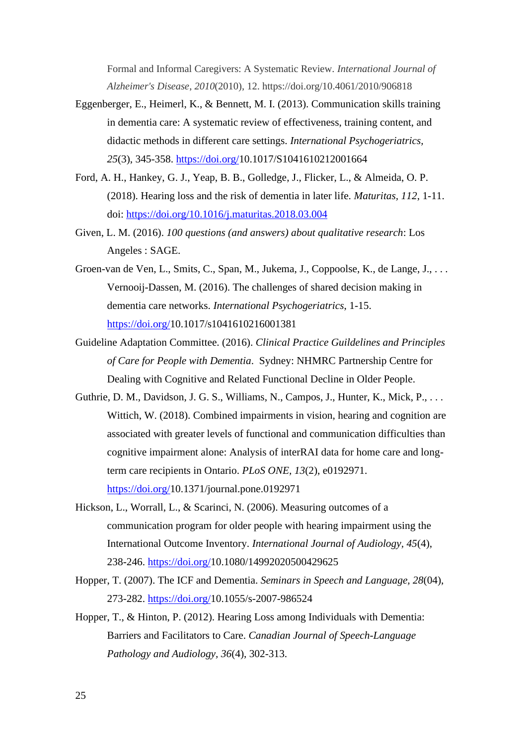Formal and Informal Caregivers: A Systematic Review. *International Journal of Alzheimer's Disease*, *2010*(2010), 12. https://doi.org/10.4061/2010/906818

- Eggenberger, E., Heimerl, K., & Bennett, M. I. (2013). Communication skills training in dementia care: A systematic review of effectiveness, training content, and didactic methods in different care settings. *International Psychogeriatrics, 25*(3), 345-358. [https://doi.org/1](https://doi.org/)0.1017/S1041610212001664
- Ford, A. H., Hankey, G. J., Yeap, B. B., Golledge, J., Flicker, L., & Almeida, O. P. (2018). Hearing loss and the risk of dementia in later life. *Maturitas, 112*, 1-11. doi:<https://doi.org/10.1016/j.maturitas.2018.03.004>
- Given, L. M. (2016). *100 questions (and answers) about qualitative research*: Los Angeles : SAGE.
- Groen-van de Ven, L., Smits, C., Span, M., Jukema, J., Coppoolse, K., de Lange, J., . . . Vernooij-Dassen, M. (2016). The challenges of shared decision making in dementia care networks. *International Psychogeriatrics*, 1-15. [https://doi.org/1](https://doi.org/)0.1017/s1041610216001381
- Guideline Adaptation Committee. (2016). *Clinical Practice Guildelines and Principles of Care for People with Dementia*. Sydney: NHMRC Partnership Centre for Dealing with Cognitive and Related Functional Decline in Older People.
- Guthrie, D. M., Davidson, J. G. S., Williams, N., Campos, J., Hunter, K., Mick, P., . . . Wittich, W. (2018). Combined impairments in vision, hearing and cognition are associated with greater levels of functional and communication difficulties than cognitive impairment alone: Analysis of interRAI data for home care and longterm care recipients in Ontario. *PLoS ONE, 13*(2), e0192971. [https://doi.org/1](https://doi.org/)0.1371/journal.pone.0192971
- Hickson, L., Worrall, L., & Scarinci, N. (2006). Measuring outcomes of a communication program for older people with hearing impairment using the International Outcome Inventory. *International Journal of Audiology, 45*(4), 238-246. [https://doi.org/1](https://doi.org/)0.1080/14992020500429625
- Hopper, T. (2007). The ICF and Dementia. *Seminars in Speech and Language, 28*(04), 273-282. [https://doi.org/1](https://doi.org/)0.1055/s-2007-986524
- Hopper, T., & Hinton, P. (2012). Hearing Loss among Individuals with Dementia: Barriers and Facilitators to Care. *Canadian Journal of Speech-Language Pathology and Audiology, 36*(4), 302-313.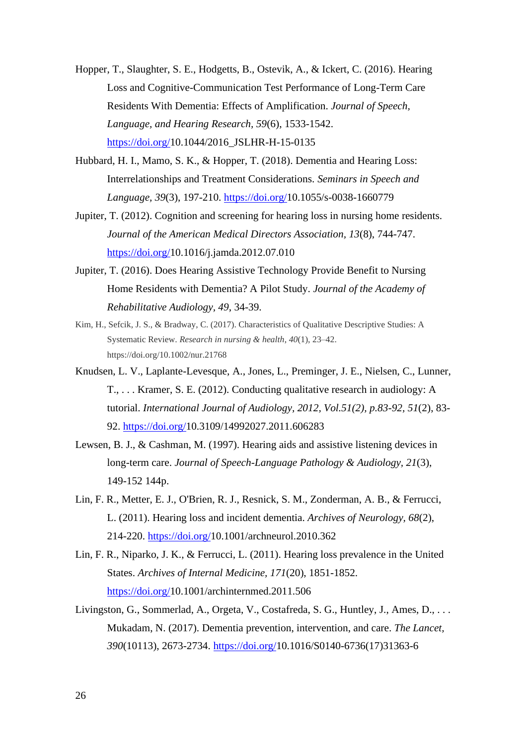- Hopper, T., Slaughter, S. E., Hodgetts, B., Ostevik, A., & Ickert, C. (2016). Hearing Loss and Cognitive-Communication Test Performance of Long-Term Care Residents With Dementia: Effects of Amplification. *Journal of Speech, Language, and Hearing Research, 59*(6), 1533-1542. [https://doi.org/1](https://doi.org/)0.1044/2016\_JSLHR-H-15-0135
- Hubbard, H. I., Mamo, S. K., & Hopper, T. (2018). Dementia and Hearing Loss: Interrelationships and Treatment Considerations. *Seminars in Speech and Language, 39*(3), 197-210. [https://doi.org/1](https://doi.org/)0.1055/s-0038-1660779
- Jupiter, T. (2012). Cognition and screening for hearing loss in nursing home residents. *Journal of the American Medical Directors Association, 13*(8), 744-747. [https://doi.org/1](https://doi.org/)0.1016/j.jamda.2012.07.010
- Jupiter, T. (2016). Does Hearing Assistive Technology Provide Benefit to Nursing Home Residents with Dementia? A Pilot Study. *Journal of the Academy of Rehabilitative Audiology, 49*, 34-39.
- Kim, H., Sefcik, J. S., & Bradway, C. (2017). Characteristics of Qualitative Descriptive Studies: A Systematic Review. *Research in nursing & health*, *40*(1), 23–42. https://doi.org/10.1002/nur.21768
- Knudsen, L. V., Laplante-Levesque, A., Jones, L., Preminger, J. E., Nielsen, C., Lunner, T., . . . Kramer, S. E. (2012). Conducting qualitative research in audiology: A tutorial. *International Journal of Audiology, 2012, Vol.51(2), p.83-92, 51*(2), 83 92. [https://doi.org/1](https://doi.org/)0.3109/14992027.2011.606283
- Lewsen, B. J., & Cashman, M. (1997). Hearing aids and assistive listening devices in long-term care. *Journal of Speech-Language Pathology & Audiology, 21*(3), 149-152 144p.
- Lin, F. R., Metter, E. J., O'Brien, R. J., Resnick, S. M., Zonderman, A. B., & Ferrucci, L. (2011). Hearing loss and incident dementia. *Archives of Neurology, 68*(2), 214-220. [https://doi.org/1](https://doi.org/)0.1001/archneurol.2010.362
- Lin, F. R., Niparko, J. K., & Ferrucci, L. (2011). Hearing loss prevalence in the United States. *Archives of Internal Medicine, 171*(20), 1851-1852. [https://doi.org/1](https://doi.org/)0.1001/archinternmed.2011.506
- Livingston, G., Sommerlad, A., Orgeta, V., Costafreda, S. G., Huntley, J., Ames, D., ... Mukadam, N. (2017). Dementia prevention, intervention, and care. *The Lancet, 390*(10113), 2673-2734. [https://doi.org/1](https://doi.org/)0.1016/S0140-6736(17)31363-6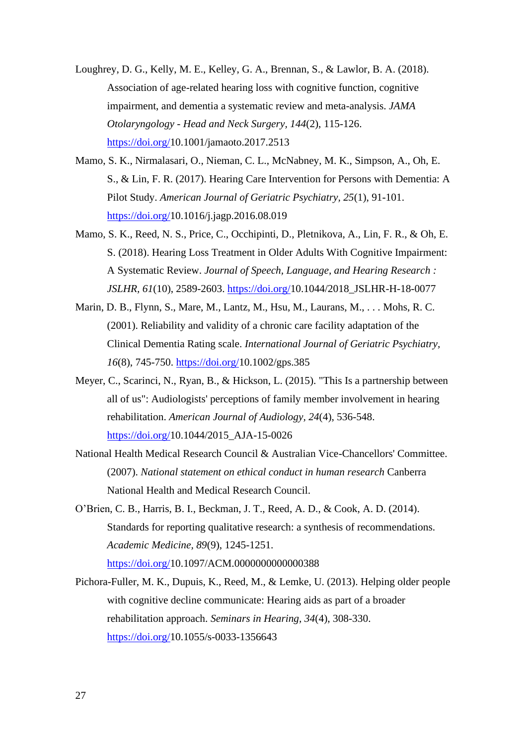- Loughrey, D. G., Kelly, M. E., Kelley, G. A., Brennan, S., & Lawlor, B. A. (2018). Association of age-related hearing loss with cognitive function, cognitive impairment, and dementia a systematic review and meta-analysis. *JAMA Otolaryngology - Head and Neck Surgery, 144*(2), 115-126. [https://doi.org/1](https://doi.org/)0.1001/jamaoto.2017.2513
- Mamo, S. K., Nirmalasari, O., Nieman, C. L., McNabney, M. K., Simpson, A., Oh, E. S., & Lin, F. R. (2017). Hearing Care Intervention for Persons with Dementia: A Pilot Study. *American Journal of Geriatric Psychiatry, 25*(1), 91-101. [https://doi.org/1](https://doi.org/)0.1016/j.jagp.2016.08.019
- Mamo, S. K., Reed, N. S., Price, C., Occhipinti, D., Pletnikova, A., Lin, F. R., & Oh, E. S. (2018). Hearing Loss Treatment in Older Adults With Cognitive Impairment: A Systematic Review. *Journal of Speech, Language, and Hearing Research : JSLHR, 61*(10), 2589-2603. [https://doi.org/1](https://doi.org/)0.1044/2018\_JSLHR-H-18-0077
- Marin, D. B., Flynn, S., Mare, M., Lantz, M., Hsu, M., Laurans, M., . . . Mohs, R. C. (2001). Reliability and validity of a chronic care facility adaptation of the Clinical Dementia Rating scale. *International Journal of Geriatric Psychiatry, 16*(8), 745-750. [https://doi.org/1](https://doi.org/)0.1002/gps.385
- Meyer, C., Scarinci, N., Ryan, B., & Hickson, L. (2015). "This Is a partnership between all of us": Audiologists' perceptions of family member involvement in hearing rehabilitation. *American Journal of Audiology, 24*(4), 536-548. [https://doi.org/1](https://doi.org/)0.1044/2015\_AJA-15-0026
- National Health Medical Research Council & Australian Vice-Chancellors' Committee. (2007). *National statement on ethical conduct in human research* Canberra National Health and Medical Research Council.
- O'Brien, C. B., Harris, B. I., Beckman, J. T., Reed, A. D., & Cook, A. D. (2014). Standards for reporting qualitative research: a synthesis of recommendations. *Academic Medicine, 89*(9), 1245-1251. [https://doi.org/1](https://doi.org/)0.1097/ACM.0000000000000388
- Pichora-Fuller, M. K., Dupuis, K., Reed, M., & Lemke, U. (2013). Helping older people with cognitive decline communicate: Hearing aids as part of a broader rehabilitation approach. *Seminars in Hearing, 34*(4), 308-330. [https://doi.org/1](https://doi.org/)0.1055/s-0033-1356643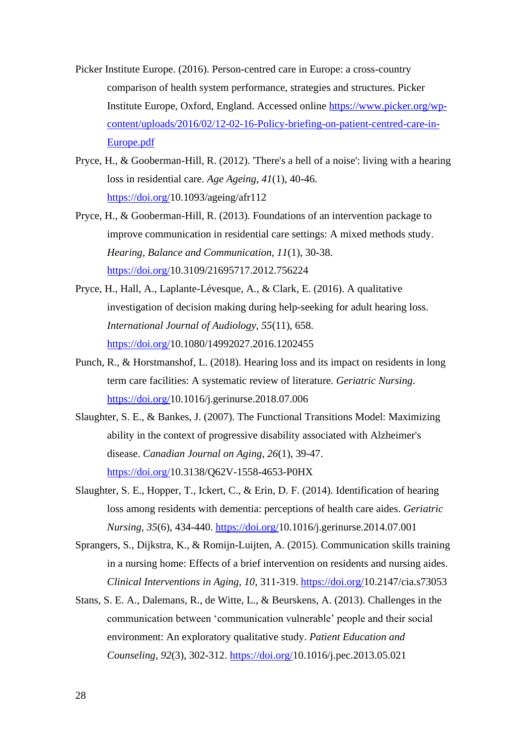- Picker Institute Europe. (2016). Person-centred care in Europe: a cross-country comparison of health system performance, strategies and structures. Picker Institute Europe, Oxford, England. Accessed online [https://www.picker.org/wp](https://www.picker.org/wp-content/uploads/2016/02/12-02-16-Policy-briefing-on-patient-centred-care-in-Europe.pdf)[content/uploads/2016/02/12-02-16-Policy-briefing-on-patient-centred-care-in-](https://www.picker.org/wp-content/uploads/2016/02/12-02-16-Policy-briefing-on-patient-centred-care-in-Europe.pdf)[Europe.pdf](https://www.picker.org/wp-content/uploads/2016/02/12-02-16-Policy-briefing-on-patient-centred-care-in-Europe.pdf)
- Pryce, H., & Gooberman-Hill, R. (2012). 'There's a hell of a noise': living with a hearing loss in residential care. *Age Ageing, 41*(1), 40-46. [https://doi.org/1](https://doi.org/)0.1093/ageing/afr112
- Pryce, H., & Gooberman-Hill, R. (2013). Foundations of an intervention package to improve communication in residential care settings: A mixed methods study. *Hearing, Balance and Communication, 11*(1), 30-38. [https://doi.org/1](https://doi.org/)0.3109/21695717.2012.756224
- Pryce, H., Hall, A., Laplante-Lévesque, A., & Clark, E. (2016). A qualitative investigation of decision making during help-seeking for adult hearing loss. *International Journal of Audiology, 55*(11), 658. [https://doi.org/1](https://doi.org/)0.1080/14992027.2016.1202455
- Punch, R., & Horstmanshof, L. (2018). Hearing loss and its impact on residents in long term care facilities: A systematic review of literature. *Geriatric Nursing*. [https://doi.org/1](https://doi.org/)0.1016/j.gerinurse.2018.07.006
- Slaughter, S. E., & Bankes, J. (2007). The Functional Transitions Model: Maximizing ability in the context of progressive disability associated with Alzheimer's disease. *Canadian Journal on Aging, 26*(1), 39-47. [https://doi.org/1](https://doi.org/)0.3138/Q62V-1558-4653-P0HX
- Slaughter, S. E., Hopper, T., Ickert, C., & Erin, D. F. (2014). Identification of hearing loss among residents with dementia: perceptions of health care aides. *Geriatric Nursing, 35*(6), 434-440. [https://doi.org/1](https://doi.org/)0.1016/j.gerinurse.2014.07.001
- Sprangers, S., Dijkstra, K., & Romijn-Luijten, A. (2015). Communication skills training in a nursing home: Effects of a brief intervention on residents and nursing aides. *Clinical Interventions in Aging, 10*, 311-319. [https://doi.org/1](https://doi.org/)0.2147/cia.s73053
- Stans, S. E. A., Dalemans, R., de Witte, L., & Beurskens, A. (2013). Challenges in the communication between 'communication vulnerable' people and their social environment: An exploratory qualitative study. *Patient Education and Counseling, 92*(3), 302-312. [https://doi.org/1](https://doi.org/)0.1016/j.pec.2013.05.021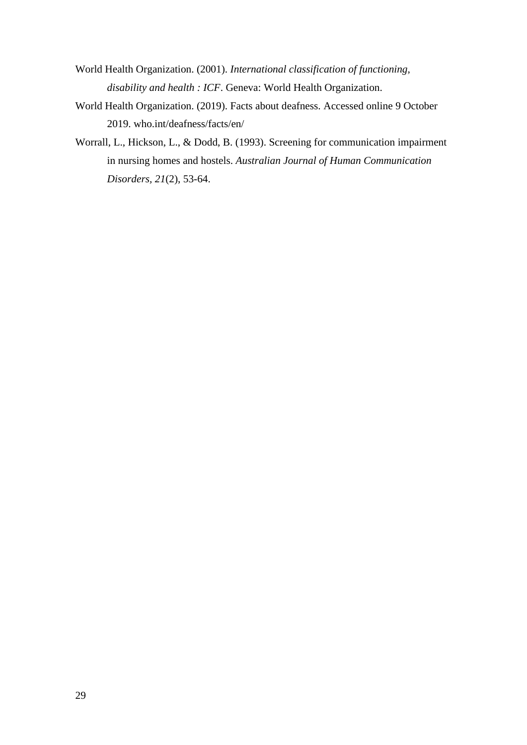- World Health Organization. (2001). *International classification of functioning, disability and health : ICF*. Geneva: World Health Organization.
- World Health Organization. (2019). Facts about deafness. Accessed online 9 October 2019. who.int/deafness/facts/en/
- Worrall, L., Hickson, L., & Dodd, B. (1993). Screening for communication impairment in nursing homes and hostels. *Australian Journal of Human Communication Disorders, 21*(2), 53-64.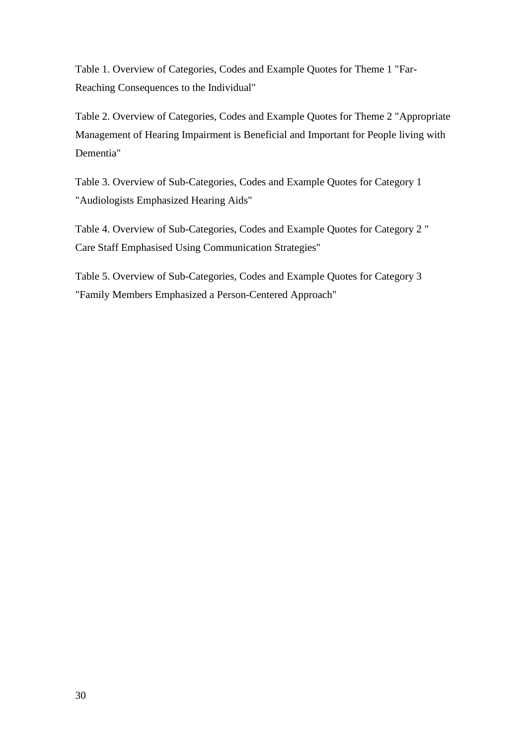Table 1. Overview of Categories, Codes and Example Quotes for Theme 1 "Far-Reaching Consequences to the Individual"

Table 2. Overview of Categories, Codes and Example Quotes for Theme 2 "Appropriate Management of Hearing Impairment is Beneficial and Important for People living with Dementia"

Table 3. Overview of Sub-Categories, Codes and Example Quotes for Category 1 "Audiologists Emphasized Hearing Aids"

Table 4. Overview of Sub-Categories, Codes and Example Quotes for Category 2 " Care Staff Emphasised Using Communication Strategies"

Table 5. Overview of Sub-Categories, Codes and Example Quotes for Category 3 "Family Members Emphasized a Person-Centered Approach"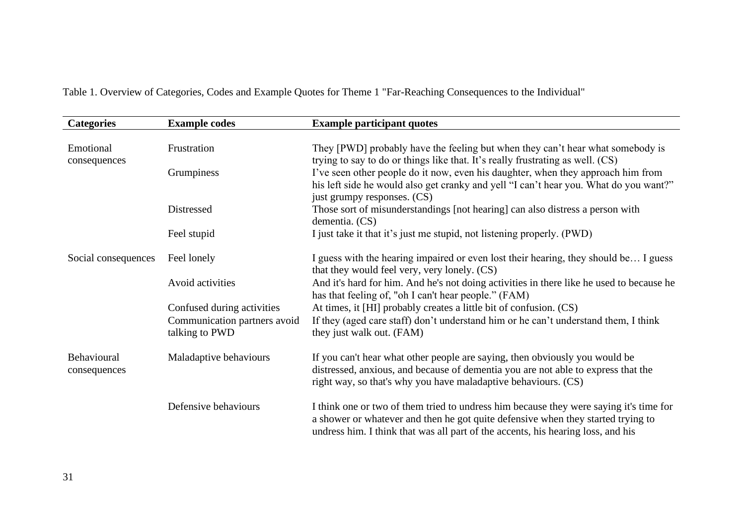| <b>Categories</b>                  | <b>Example codes</b>                  | <b>Example participant quotes</b>                                                                                                                                                                                                                                                                                                                                                                                                                                  |
|------------------------------------|---------------------------------------|--------------------------------------------------------------------------------------------------------------------------------------------------------------------------------------------------------------------------------------------------------------------------------------------------------------------------------------------------------------------------------------------------------------------------------------------------------------------|
|                                    |                                       |                                                                                                                                                                                                                                                                                                                                                                                                                                                                    |
| Emotional                          | Frustration                           | They [PWD] probably have the feeling but when they can't hear what somebody is                                                                                                                                                                                                                                                                                                                                                                                     |
| consequences                       |                                       | trying to say to do or things like that. It's really frustrating as well. (CS)                                                                                                                                                                                                                                                                                                                                                                                     |
|                                    | Grumpiness                            | I've seen other people do it now, even his daughter, when they approach him from                                                                                                                                                                                                                                                                                                                                                                                   |
|                                    |                                       | his left side he would also get cranky and yell "I can't hear you. What do you want?"                                                                                                                                                                                                                                                                                                                                                                              |
|                                    |                                       | just grumpy responses. (CS)                                                                                                                                                                                                                                                                                                                                                                                                                                        |
|                                    | Distressed                            | Those sort of misunderstandings [not hearing] can also distress a person with<br>dementia. (CS)                                                                                                                                                                                                                                                                                                                                                                    |
|                                    | Feel stupid                           | I just take it that it's just me stupid, not listening properly. (PWD)                                                                                                                                                                                                                                                                                                                                                                                             |
|                                    |                                       |                                                                                                                                                                                                                                                                                                                                                                                                                                                                    |
|                                    |                                       |                                                                                                                                                                                                                                                                                                                                                                                                                                                                    |
|                                    | Avoid activities                      | And it's hard for him. And he's not doing activities in there like he used to because he                                                                                                                                                                                                                                                                                                                                                                           |
|                                    |                                       | has that feeling of, "oh I can't hear people." (FAM)                                                                                                                                                                                                                                                                                                                                                                                                               |
|                                    | Confused during activities            |                                                                                                                                                                                                                                                                                                                                                                                                                                                                    |
|                                    | Communication partners avoid          | If they (aged care staff) don't understand him or he can't understand them, I think                                                                                                                                                                                                                                                                                                                                                                                |
|                                    | talking to PWD                        | they just walk out. (FAM)                                                                                                                                                                                                                                                                                                                                                                                                                                          |
|                                    |                                       |                                                                                                                                                                                                                                                                                                                                                                                                                                                                    |
| consequences                       |                                       |                                                                                                                                                                                                                                                                                                                                                                                                                                                                    |
|                                    |                                       | right way, so that's why you have maladaptive behaviours. (CS)                                                                                                                                                                                                                                                                                                                                                                                                     |
|                                    | Defensive behaviours                  | I think one or two of them tried to undress him because they were saying it's time for                                                                                                                                                                                                                                                                                                                                                                             |
|                                    |                                       | a shower or whatever and then he got quite defensive when they started trying to                                                                                                                                                                                                                                                                                                                                                                                   |
| Social consequences<br>Behavioural | Feel lonely<br>Maladaptive behaviours | I guess with the hearing impaired or even lost their hearing, they should be I guess<br>that they would feel very, very lonely. (CS)<br>At times, it [HI] probably creates a little bit of confusion. (CS)<br>If you can't hear what other people are saying, then obviously you would be<br>distressed, anxious, and because of dementia you are not able to express that the<br>undress him. I think that was all part of the accents, his hearing loss, and his |

Table 1. Overview of Categories, Codes and Example Quotes for Theme 1 "Far-Reaching Consequences to the Individual"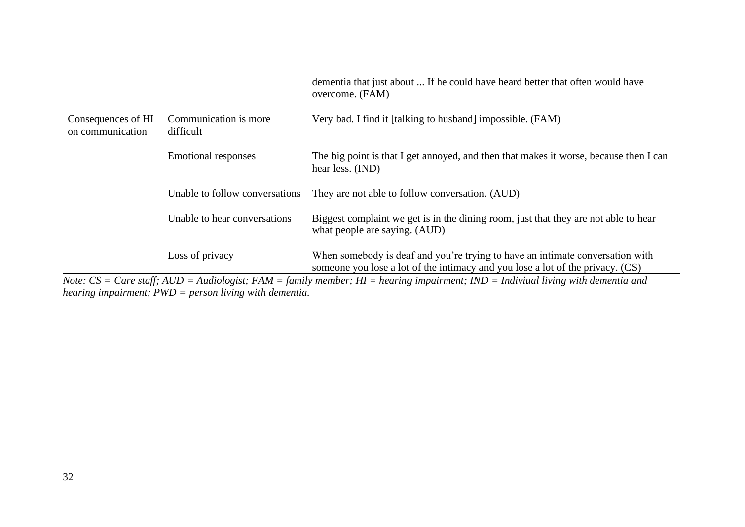|                                        |                                                                                                             | dementia that just about  If he could have heard better that often would have<br>overcome. (FAM)                                                                                                                                                                                                                                                                                                                                                                                                                                                                                                                                                   |
|----------------------------------------|-------------------------------------------------------------------------------------------------------------|----------------------------------------------------------------------------------------------------------------------------------------------------------------------------------------------------------------------------------------------------------------------------------------------------------------------------------------------------------------------------------------------------------------------------------------------------------------------------------------------------------------------------------------------------------------------------------------------------------------------------------------------------|
| Consequences of HI<br>on communication | Communication is more<br>difficult                                                                          | Very bad. I find it [talking to husband] impossible. (FAM)                                                                                                                                                                                                                                                                                                                                                                                                                                                                                                                                                                                         |
|                                        | <b>Emotional responses</b>                                                                                  | The big point is that I get annoyed, and then that makes it worse, because then I can<br>hear less. (IND)                                                                                                                                                                                                                                                                                                                                                                                                                                                                                                                                          |
|                                        | Unable to follow conversations                                                                              | They are not able to follow conversation. (AUD)                                                                                                                                                                                                                                                                                                                                                                                                                                                                                                                                                                                                    |
|                                        | Unable to hear conversations                                                                                | Biggest complaint we get is in the dining room, just that they are not able to hear<br>what people are saying. (AUD)                                                                                                                                                                                                                                                                                                                                                                                                                                                                                                                               |
| $\mathbf{v}$ $\alpha$ $\alpha$         | Loss of privacy<br>$\therefore$ $\cos A$ $\sin A$ $\sin A$ $\sin A$ $\sin A$<br>$\mathcal{C}$ $\mathcal{C}$ | When somebody is deaf and you're trying to have an intimate conversation with<br>someone you lose a lot of the intimacy and you lose a lot of the privacy. (CS)<br>$\overline{1}$ $\overline{11}$ $\overline{1}$ $\overline{1}$ $\overline{1}$ $\overline{1}$ $\overline{1}$ $\overline{1}$ $\overline{1}$ $\overline{1}$ $\overline{1}$ $\overline{1}$ $\overline{1}$ $\overline{1}$ $\overline{1}$ $\overline{1}$ $\overline{1}$ $\overline{1}$ $\overline{1}$ $\overline{1}$ $\overline{1}$ $\overline{1}$ $\overline{1}$ $\overline{1}$ $\overline$<br>$\mathbf{1}$ , $\mathbf{1}$ , $\mathbf{1}$ , $\mathbf{1}$ , $\mathbf{1}$ , $\mathbf{1}$ |

*Note: CS = Care staff; AUD = Audiologist; FAM = family member; HI = hearing impairment; IND = Indiviual living with dementia and hearing impairment; PWD = person living with dementia.*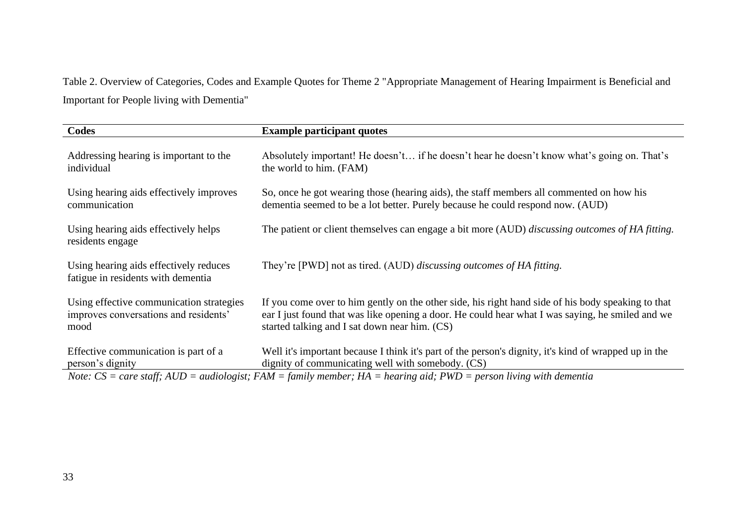Table 2. Overview of Categories, Codes and Example Quotes for Theme 2 "Appropriate Management of Hearing Impairment is Beneficial and Important for People living with Dementia"

| Codes                                                                                     | <b>Example participant quotes</b>                                                                                                                                                                                                                                                           |
|-------------------------------------------------------------------------------------------|---------------------------------------------------------------------------------------------------------------------------------------------------------------------------------------------------------------------------------------------------------------------------------------------|
| Addressing hearing is important to the<br>individual                                      | Absolutely important! He doesn't if he doesn't hear he doesn't know what's going on. That's<br>the world to him. (FAM)                                                                                                                                                                      |
| Using hearing aids effectively improves<br>communication                                  | So, once he got wearing those (hearing aids), the staff members all commented on how his<br>dementia seemed to be a lot better. Purely because he could respond now. (AUD)                                                                                                                  |
| Using hearing aids effectively helps<br>residents engage                                  | The patient or client themselves can engage a bit more (AUD) <i>discussing outcomes of HA fitting</i> .                                                                                                                                                                                     |
| Using hearing aids effectively reduces<br>fatigue in residents with dementia              | They're [PWD] not as tired. (AUD) discussing outcomes of HA fitting.                                                                                                                                                                                                                        |
| Using effective communication strategies<br>improves conversations and residents'<br>mood | If you come over to him gently on the other side, his right hand side of his body speaking to that<br>ear I just found that was like opening a door. He could hear what I was saying, he smiled and we<br>started talking and I sat down near him. (CS)                                     |
| Effective communication is part of a<br>person's dignity                                  | Well it's important because I think it's part of the person's dignity, it's kind of wrapped up in the<br>dignity of communicating well with somebody. (CS)<br>Note: $CS = care$ staff; $AUD = audiologist$ ; $FAM = family$ member; $HA = hearing$ aid; $PWD = person$ living with dementia |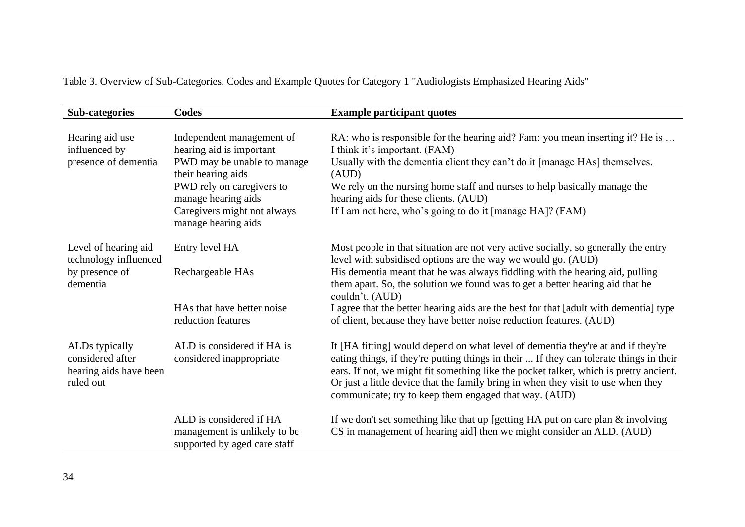| <b>Sub-categories</b>                                                       | <b>Codes</b>                                                                                                                                                                                                         | <b>Example participant quotes</b>                                                                                                                                                                                                                                                                                                                                                                                  |
|-----------------------------------------------------------------------------|----------------------------------------------------------------------------------------------------------------------------------------------------------------------------------------------------------------------|--------------------------------------------------------------------------------------------------------------------------------------------------------------------------------------------------------------------------------------------------------------------------------------------------------------------------------------------------------------------------------------------------------------------|
| Hearing aid use<br>influenced by<br>presence of dementia                    | Independent management of<br>hearing aid is important<br>PWD may be unable to manage<br>their hearing aids<br>PWD rely on caregivers to<br>manage hearing aids<br>Caregivers might not always<br>manage hearing aids | RA: who is responsible for the hearing aid? Fam: you mean inserting it? He is<br>I think it's important. (FAM)<br>Usually with the dementia client they can't do it [manage HAs] themselves.<br>(AUD)<br>We rely on the nursing home staff and nurses to help basically manage the<br>hearing aids for these clients. (AUD)<br>If I am not here, who's going to do it [manage HA]? (FAM)                           |
| Level of hearing aid<br>technology influenced<br>by presence of<br>dementia | Entry level HA<br>Rechargeable HAs                                                                                                                                                                                   | Most people in that situation are not very active socially, so generally the entry<br>level with subsidised options are the way we would go. (AUD)<br>His dementia meant that he was always fiddling with the hearing aid, pulling<br>them apart. So, the solution we found was to get a better hearing aid that he<br>couldn't. (AUD)                                                                             |
|                                                                             | HAs that have better noise<br>reduction features                                                                                                                                                                     | I agree that the better hearing aids are the best for that [adult with dementia] type<br>of client, because they have better noise reduction features. (AUD)                                                                                                                                                                                                                                                       |
| ALDs typically<br>considered after<br>hearing aids have been<br>ruled out   | ALD is considered if HA is<br>considered inappropriate                                                                                                                                                               | It [HA fitting] would depend on what level of dementia they're at and if they're<br>eating things, if they're putting things in their  If they can tolerate things in their<br>ears. If not, we might fit something like the pocket talker, which is pretty ancient.<br>Or just a little device that the family bring in when they visit to use when they<br>communicate; try to keep them engaged that way. (AUD) |
|                                                                             | ALD is considered if HA<br>management is unlikely to be<br>supported by aged care staff                                                                                                                              | If we don't set something like that up [getting HA put on care plan $\&$ involving<br>CS in management of hearing aid] then we might consider an ALD. (AUD)                                                                                                                                                                                                                                                        |

Table 3. Overview of Sub-Categories, Codes and Example Quotes for Category 1 "Audiologists Emphasized Hearing Aids"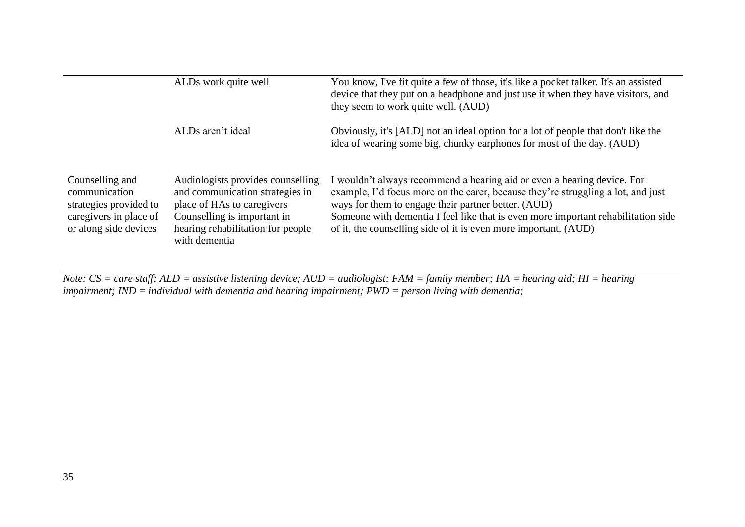|                                                                                                               | ALDs work quite well                                                                                                                                                                    | You know, I've fit quite a few of those, it's like a pocket talker. It's an assisted<br>device that they put on a headphone and just use it when they have visitors, and<br>they seem to work quite well. (AUD)                                                                                                                                                            |
|---------------------------------------------------------------------------------------------------------------|-----------------------------------------------------------------------------------------------------------------------------------------------------------------------------------------|----------------------------------------------------------------------------------------------------------------------------------------------------------------------------------------------------------------------------------------------------------------------------------------------------------------------------------------------------------------------------|
|                                                                                                               | ALDs aren't ideal                                                                                                                                                                       | Obviously, it's [ALD] not an ideal option for a lot of people that don't like the<br>idea of wearing some big, chunky earphones for most of the day. (AUD)                                                                                                                                                                                                                 |
| Counselling and<br>communication<br>strategies provided to<br>caregivers in place of<br>or along side devices | Audiologists provides counselling<br>and communication strategies in<br>place of HAs to caregivers<br>Counselling is important in<br>hearing rehabilitation for people<br>with dementia | I wouldn't always recommend a hearing aid or even a hearing device. For<br>example, I'd focus more on the carer, because they're struggling a lot, and just<br>ways for them to engage their partner better. (AUD)<br>Someone with dementia I feel like that is even more important rehabilitation side<br>of it, the counselling side of it is even more important. (AUD) |

*Note: CS = care staff; ALD = assistive listening device; AUD = audiologist; FAM = family member; HA = hearing aid; HI = hearing impairment; IND = individual with dementia and hearing impairment; PWD = person living with dementia;*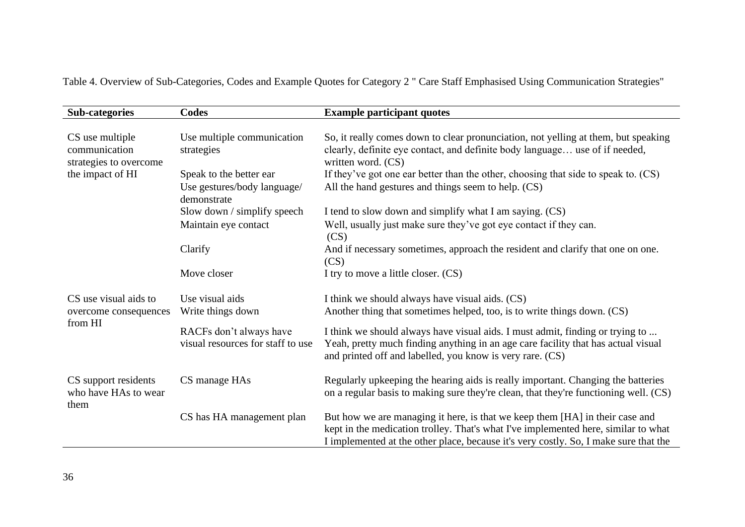**Sub-categories Codes Example participant quotes** CS use multiple communication strategies to overcome the impact of HI Use multiple communication strategies So, it really comes down to clear pronunciation, not yelling at them, but speaking clearly, definite eye contact, and definite body language… use of if needed, written word. (CS) Speak to the better ear If they've got one ear better than the other, choosing that side to speak to. (CS) Use gestures/body language/ demonstrate All the hand gestures and things seem to help. (CS) Slow down  $\prime$  simplify speech I tend to slow down and simplify what I am saying. (CS) Maintain eye contact Well, usually just make sure they've got eye contact if they can.  $(CS)$ Clarify And if necessary sometimes, approach the resident and clarify that one on one.  $(CS)$ Move closer I try to move a little closer. (CS) CS use visual aids to overcome consequences from HI Use visual aids I think we should always have visual aids. (CS) Write things down Another thing that sometimes helped, too, is to write things down. (CS) RACFs don't always have visual resources for staff to use I think we should always have visual aids. I must admit, finding or trying to ... Yeah, pretty much finding anything in an age care facility that has actual visual and printed off and labelled, you know is very rare. (CS) CS support residents who have HAs to wear them CS manage HAs Regularly upkeeping the hearing aids is really important. Changing the batteries on a regular basis to making sure they're clean, that they're functioning well. (CS) CS has HA management plan But how we are managing it here, is that we keep them [HA] in their case and kept in the medication trolley. That's what I've implemented here, similar to what I implemented at the other place, because it's very costly. So, I make sure that the

Table 4. Overview of Sub-Categories, Codes and Example Quotes for Category 2 " Care Staff Emphasised Using Communication Strategies"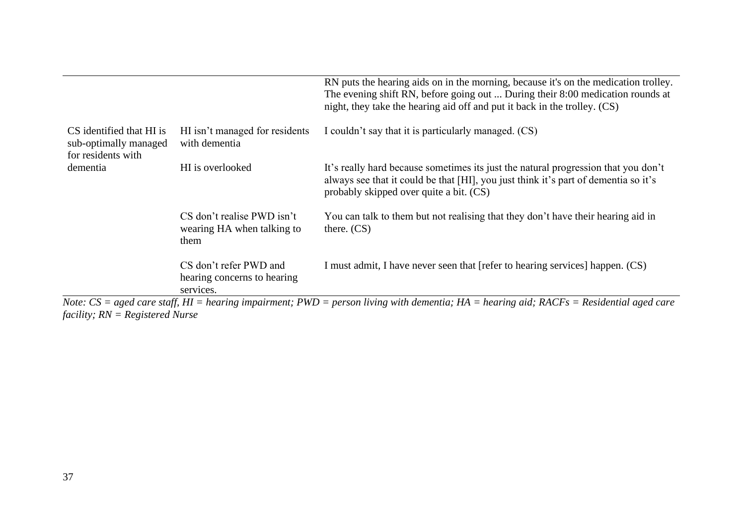|                                                                                     |                                                                    | RN puts the hearing aids on in the morning, because it's on the medication trolley.<br>The evening shift RN, before going out  During their 8:00 medication rounds at<br>night, they take the hearing aid off and put it back in the trolley. (CS)          |
|-------------------------------------------------------------------------------------|--------------------------------------------------------------------|-------------------------------------------------------------------------------------------------------------------------------------------------------------------------------------------------------------------------------------------------------------|
| CS identified that HI is<br>sub-optimally managed<br>for residents with<br>dementia | HI isn't managed for residents<br>with dementia                    | I couldn't say that it is particularly managed. (CS)                                                                                                                                                                                                        |
|                                                                                     | HI is overlooked                                                   | It's really hard because sometimes its just the natural progression that you don't<br>always see that it could be that [HI], you just think it's part of dementia so it's<br>probably skipped over quite a bit. (CS)                                        |
|                                                                                     | CS don't realise PWD isn't<br>wearing HA when talking to<br>them   | You can talk to them but not realising that they don't have their hearing aid in<br>there. $(CS)$                                                                                                                                                           |
|                                                                                     | CS don't refer PWD and<br>hearing concerns to hearing<br>services. | I must admit, I have never seen that [refer to hearing services] happen. (CS)<br>Note $CC = \text{mod}$ agus staff $III = \text{beam}$ innesime sur all $DUN = \text{mean}$ living with demention $IIA = \text{beam}$ and $DACT = \text{parallel}$ and agus |

*Note:*  $CS =$  aged care staff,  $HI =$  hearing impairment; PWD = person living with dementia;  $HA =$  hearing aid; RACFs = Residential aged care *facility; RN = Registered Nurse*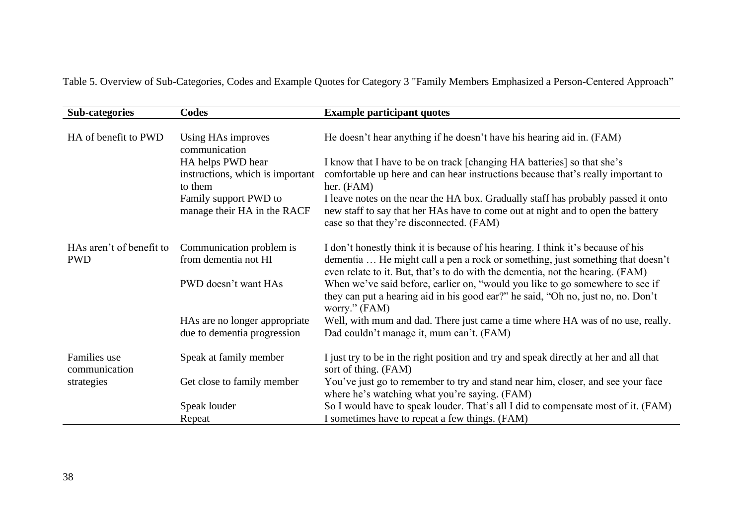Table 5. Overview of Sub-Categories, Codes and Example Quotes for Category 3 "Family Members Emphasized a Person-Centered Approach"

| <b>Sub-categories</b>         | Codes                                                | <b>Example participant quotes</b>                                                                                                                                                                                |
|-------------------------------|------------------------------------------------------|------------------------------------------------------------------------------------------------------------------------------------------------------------------------------------------------------------------|
|                               |                                                      |                                                                                                                                                                                                                  |
| HA of benefit to PWD          | Using HAs improves<br>communication                  | He doesn't hear anything if he doesn't have his hearing aid in. (FAM)                                                                                                                                            |
|                               | HA helps PWD hear                                    | I know that I have to be on track [changing HA batteries] so that she's                                                                                                                                          |
|                               | instructions, which is important<br>to them          | comfortable up here and can hear instructions because that's really important to<br>her. (FAM)                                                                                                                   |
|                               | Family support PWD to<br>manage their HA in the RACF | I leave notes on the near the HA box. Gradually staff has probably passed it onto<br>new staff to say that her HAs have to come out at night and to open the battery<br>case so that they're disconnected. (FAM) |
|                               |                                                      |                                                                                                                                                                                                                  |
| HAs aren't of benefit to      | Communication problem is                             | I don't honestly think it is because of his hearing. I think it's because of his                                                                                                                                 |
| <b>PWD</b>                    | from dementia not HI                                 | dementia  He might call a pen a rock or something, just something that doesn't<br>even relate to it. But, that's to do with the dementia, not the hearing. (FAM)                                                 |
|                               | PWD doesn't want HAs                                 | When we've said before, earlier on, "would you like to go somewhere to see if<br>they can put a hearing aid in his good ear?" he said, "Oh no, just no, no. Don't<br>worry." $(FAM)$                             |
|                               | HAs are no longer appropriate                        | Well, with mum and dad. There just came a time where HA was of no use, really.                                                                                                                                   |
|                               | due to dementia progression                          | Dad couldn't manage it, mum can't. (FAM)                                                                                                                                                                         |
| Families use<br>communication | Speak at family member                               | I just try to be in the right position and try and speak directly at her and all that<br>sort of thing. (FAM)                                                                                                    |
| strategies                    | Get close to family member                           | You've just go to remember to try and stand near him, closer, and see your face                                                                                                                                  |
|                               |                                                      | where he's watching what you're saying. (FAM)                                                                                                                                                                    |
|                               | Speak louder                                         | So I would have to speak louder. That's all I did to compensate most of it. (FAM)                                                                                                                                |
|                               | Repeat                                               | I sometimes have to repeat a few things. (FAM)                                                                                                                                                                   |